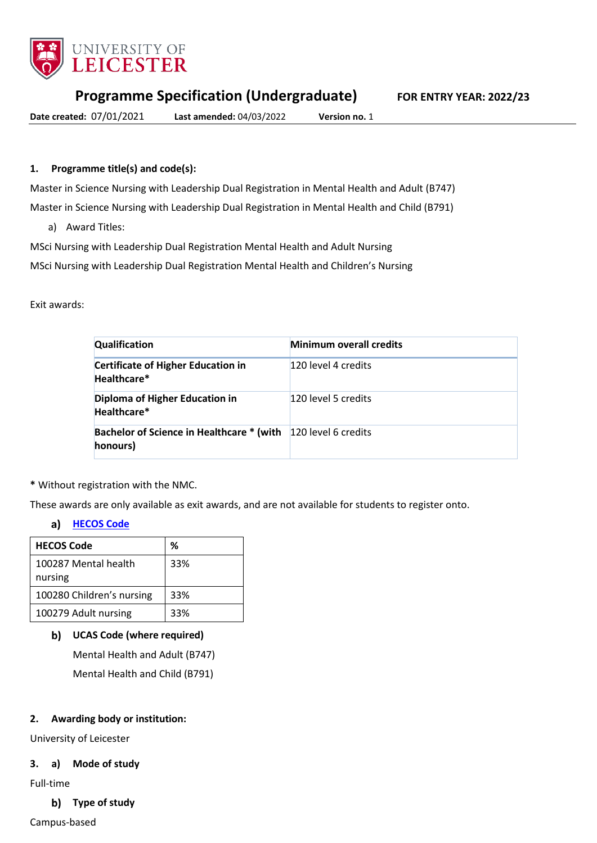

### **Programme Specification (Undergraduate) FOR ENTRY YEAR: 2022/23**

**Date created:** 07/01/2021 **Last amended:** 04/03/2022 **Version no.** 1

# **1. Programme title(s) and code(s):**

Master in Science Nursing with Leadership Dual Registration in Mental Health and Adult (B747)

Master in Science Nursing with Leadership Dual Registration in Mental Health and Child (B791)

a) Award Titles:

MSci Nursing with Leadership Dual Registration Mental Health and Adult Nursing

MSci Nursing with Leadership Dual Registration Mental Health and Children's Nursing

#### Exit awards:

| Qualification                                                                    | <b>Minimum overall credits</b> |
|----------------------------------------------------------------------------------|--------------------------------|
| <b>Certificate of Higher Education in</b><br>Healthcare*                         | 120 level 4 credits            |
| Diploma of Higher Education in<br>Healthcare*                                    | 120 level 5 credits            |
| <b>Bachelor of Science in Healthcare * (with 120 level 6 credits</b><br>honours) |                                |

**\*** Without registration with the NMC.

These awards are only available as exit awards, and are not available for students to register onto.

#### **[HECOS Code](https://www.hesa.ac.uk/innovation/hecos)** a)

| <b>HECOS Code</b>         | %   |
|---------------------------|-----|
| 100287 Mental health      | 33% |
| nursing                   |     |
| 100280 Children's nursing | 33% |
| 100279 Adult nursing      | 33% |

### **UCAS Code (where required)**

Mental Health and Adult (B747) Mental Health and Child (B791)

### **2. Awarding body or institution:**

University of Leicester

### **3. a) Mode of study**

Full-time

### **Type of study**

Campus-based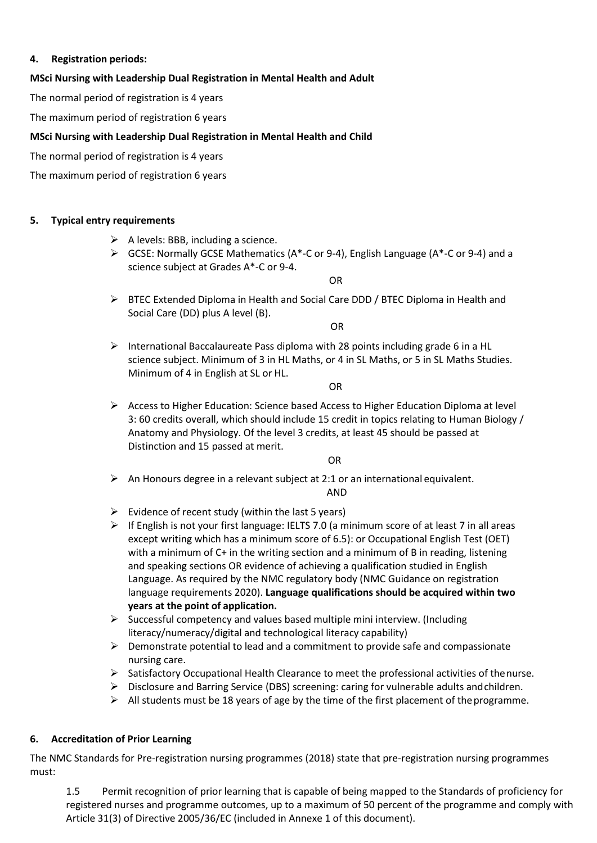### **4. Registration periods:**

### **MSci Nursing with Leadership Dual Registration in Mental Health and Adult**

The normal period of registration is 4 years

The maximum period of registration 6 years

#### **MSci Nursing with Leadership Dual Registration in Mental Health and Child**

The normal period of registration is 4 years

The maximum period of registration 6 years

#### **5. Typical entry requirements**

- $\triangleright$  A levels: BBB, including a science.
- $\triangleright$  GCSE: Normally GCSE Mathematics (A\*-C or 9-4), English Language (A\*-C or 9-4) and a science subject at Grades A\*-C or 9-4.

OR

▶ BTEC Extended Diploma in Health and Social Care DDD / BTEC Diploma in Health and Social Care (DD) plus A level (B).

OR

International Baccalaureate Pass diploma with 28 points including grade 6 in a HL science subject. Minimum of 3 in HL Maths, or 4 in SL Maths, or 5 in SL Maths Studies. Minimum of 4 in English at SL or HL.

OR

 $\triangleright$  Access to Higher Education: Science based Access to Higher Education Diploma at level 3: 60 credits overall, which should include 15 credit in topics relating to Human Biology / Anatomy and Physiology. Of the level 3 credits, at least 45 should be passed at Distinction and 15 passed at merit.

OR

 $\triangleright$  An Honours degree in a relevant subject at 2:1 or an international equivalent.

AND

- $\triangleright$  Evidence of recent study (within the last 5 years)
- $\triangleright$  If English is not your first language: IELTS 7.0 (a minimum score of at least 7 in all areas except writing which has a minimum score of 6.5): or Occupational English Test (OET) with a minimum of C+ in the writing section and a minimum of B in reading, listening and speaking sections OR evidence of achieving a qualification studied in English Language. As required by the NMC regulatory body (NMC Guidance on registration language requirements 2020). **Language qualifications should be acquired within two years at the point of application.**
- $\triangleright$  Successful competency and values based multiple mini interview. (Including literacy/numeracy/digital and technological literacy capability)
- $\triangleright$  Demonstrate potential to lead and a commitment to provide safe and compassionate nursing care.
- $\triangleright$  Satisfactory Occupational Health Clearance to meet the professional activities of thenurse.
- $\triangleright$  Disclosure and Barring Service (DBS) screening: caring for vulnerable adults and children.
- $\triangleright$  All students must be 18 years of age by the time of the first placement of the programme.

### **6. Accreditation of Prior Learning**

The NMC Standards for Pre-registration nursing programmes (2018) state that pre-registration nursing programmes must:

1.5 Permit recognition of prior learning that is capable of being mapped to the Standards of proficiency for registered nurses and programme outcomes, up to a maximum of 50 percent of the programme and comply with Article 31(3) of Directive 2005/36/EC (included in Annexe 1 of this document).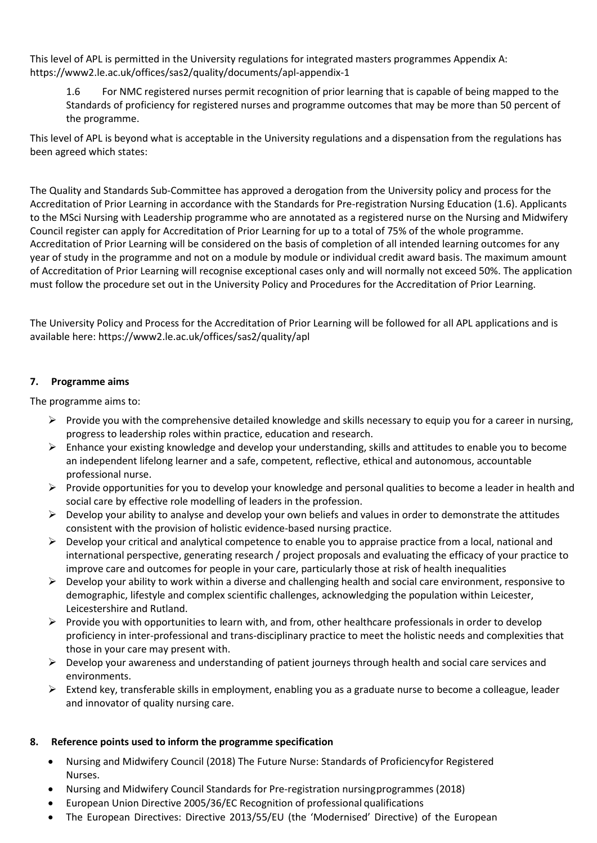This level of APL is permitted in the University regulations for integrated masters programmes Appendix A: https://www2.le.ac.uk/offices/sas2/quality/documents/apl-appendix-1

1.6 For NMC registered nurses permit recognition of prior learning that is capable of being mapped to the Standards of proficiency for registered nurses and programme outcomes that may be more than 50 percent of the programme.

This level of APL is beyond what is acceptable in the University regulations and a dispensation from the regulations has been agreed which states:

The Quality and Standards Sub-Committee has approved a derogation from the University policy and process for the Accreditation of Prior Learning in accordance with the Standards for Pre-registration Nursing Education (1.6). Applicants to the MSci Nursing with Leadership programme who are annotated as a registered nurse on the Nursing and Midwifery Council register can apply for Accreditation of Prior Learning for up to a total of 75% of the whole programme. Accreditation of Prior Learning will be considered on the basis of completion of all intended learning outcomes for any year of study in the programme and not on a module by module or individual credit award basis. The maximum amount of Accreditation of Prior Learning will recognise exceptional cases only and will normally not exceed 50%. The application must follow the procedure set out in the University Policy and Procedures for the Accreditation of Prior Learning.

The University Policy and Process for the Accreditation of Prior Learning will be followed for all APL applications and is available here: https://www2.le.ac.uk/offices/sas2/quality/apl

### **7. Programme aims**

The programme aims to:

- $\triangleright$  Provide you with the comprehensive detailed knowledge and skills necessary to equip you for a career in nursing, progress to leadership roles within practice, education and research.
- $\triangleright$  Enhance your existing knowledge and develop your understanding, skills and attitudes to enable you to become an independent lifelong learner and a safe, competent, reflective, ethical and autonomous, accountable professional nurse.
- Provide opportunities for you to develop your knowledge and personal qualities to become a leader in health and social care by effective role modelling of leaders in the profession.
- $\triangleright$  Develop your ability to analyse and develop your own beliefs and values in order to demonstrate the attitudes consistent with the provision of holistic evidence-based nursing practice.
- $\triangleright$  Develop your critical and analytical competence to enable you to appraise practice from a local, national and international perspective, generating research / project proposals and evaluating the efficacy of your practice to improve care and outcomes for people in your care, particularly those at risk of health inequalities
- $\triangleright$  Develop your ability to work within a diverse and challenging health and social care environment, responsive to demographic, lifestyle and complex scientific challenges, acknowledging the population within Leicester, Leicestershire and Rutland.
- $\triangleright$  Provide you with opportunities to learn with, and from, other healthcare professionals in order to develop proficiency in inter-professional and trans-disciplinary practice to meet the holistic needs and complexities that those in your care may present with.
- $\triangleright$  Develop your awareness and understanding of patient journeys through health and social care services and environments.
- $\triangleright$  Extend key, transferable skills in employment, enabling you as a graduate nurse to become a colleague, leader and innovator of quality nursing care.

### **8. Reference points used to inform the programme specification**

- Nursing and Midwifery Council (2018) The Future Nurse: Standards of Proficiencyfor Registered Nurses.
- Nursing and Midwifery Council Standards for Pre-registration nursingprogrammes (2018)
- European Union Directive 2005/36/EC Recognition of professional qualifications
- The European Directives: Directive 2013/55/EU (the 'Modernised' Directive) of the European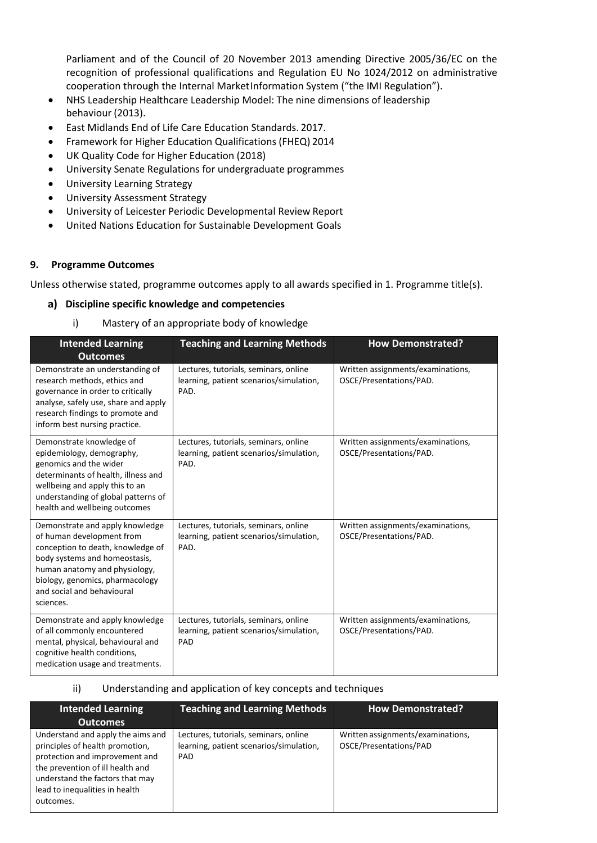Parliament and of the Council of 20 November 2013 amending Directive 2005/36/EC on the recognition of professional qualifications and Regulation EU No 1024/2012 on administrative cooperation through the Internal MarketInformation System ("the IMI Regulation").

- NHS Leadership Healthcare Leadership Model: The nine dimensions of leadership behaviour (2013).
- East Midlands End of Life Care Education Standards. 2017.
- Framework for Higher Education Qualifications (FHEQ) 2014
- UK Quality Code for Higher Education (2018)
- University Senate Regulations for undergraduate programmes
- University Learning [Strategy](https://www2.le.ac.uk/offices/sas2/quality/learnteach)
- [University Assessment Strategy](https://www2.le.ac.uk/offices/sas2/quality/learnteach)
- University of Leicester Periodic Developmental Review Report
- United Nations Education for Sustainable Development Goals

#### **9. Programme Outcomes**

Unless otherwise stated, programme outcomes apply to all awards specified in 1. Programme title(s).

#### **Discipline specific knowledge and competencies**

i) Mastery of an appropriate body of knowledge

| <b>Intended Learning</b>                                                                                                                                                                                                                          | <b>Teaching and Learning Methods</b>                                                     | <b>How Demonstrated?</b>                                     |
|---------------------------------------------------------------------------------------------------------------------------------------------------------------------------------------------------------------------------------------------------|------------------------------------------------------------------------------------------|--------------------------------------------------------------|
| <b>Outcomes</b><br>Demonstrate an understanding of<br>research methods, ethics and<br>governance in order to critically<br>analyse, safely use, share and apply<br>research findings to promote and<br>inform best nursing practice.              | Lectures, tutorials, seminars, online<br>learning, patient scenarios/simulation,<br>PAD. | Written assignments/examinations,<br>OSCE/Presentations/PAD. |
| Demonstrate knowledge of<br>epidemiology, demography,<br>genomics and the wider<br>determinants of health, illness and<br>wellbeing and apply this to an<br>understanding of global patterns of<br>health and wellbeing outcomes                  | Lectures, tutorials, seminars, online<br>learning, patient scenarios/simulation,<br>PAD. | Written assignments/examinations,<br>OSCE/Presentations/PAD. |
| Demonstrate and apply knowledge<br>of human development from<br>conception to death, knowledge of<br>body systems and homeostasis,<br>human anatomy and physiology,<br>biology, genomics, pharmacology<br>and social and behavioural<br>sciences. | Lectures, tutorials, seminars, online<br>learning, patient scenarios/simulation,<br>PAD. | Written assignments/examinations,<br>OSCE/Presentations/PAD. |
| Demonstrate and apply knowledge<br>of all commonly encountered<br>mental, physical, behavioural and<br>cognitive health conditions,<br>medication usage and treatments.                                                                           | Lectures, tutorials, seminars, online<br>learning, patient scenarios/simulation,<br>PAD  | Written assignments/examinations,<br>OSCE/Presentations/PAD. |

#### ii) Understanding and application of key concepts and techniques

| Intended Learning                                                                                                                                                                                                            | <b>Teaching and Learning Methods</b>                                                           | <b>How Demonstrated?</b>                                    |
|------------------------------------------------------------------------------------------------------------------------------------------------------------------------------------------------------------------------------|------------------------------------------------------------------------------------------------|-------------------------------------------------------------|
| <b>Outcomes</b>                                                                                                                                                                                                              |                                                                                                |                                                             |
| Understand and apply the aims and<br>principles of health promotion,<br>protection and improvement and<br>the prevention of ill health and<br>understand the factors that may<br>lead to inequalities in health<br>outcomes. | Lectures, tutorials, seminars, online<br>learning, patient scenarios/simulation,<br><b>PAD</b> | Written assignments/examinations,<br>OSCE/Presentations/PAD |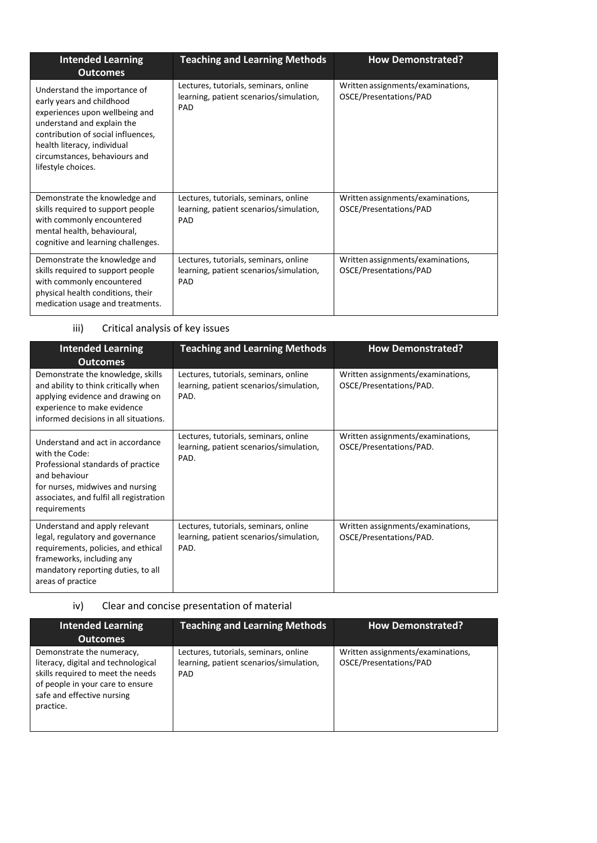| <b>Intended Learning</b><br><b>Outcomes</b>                                                                                                                                                                                                           | <b>Teaching and Learning Methods</b>                                                           | <b>How Demonstrated?</b>                                    |
|-------------------------------------------------------------------------------------------------------------------------------------------------------------------------------------------------------------------------------------------------------|------------------------------------------------------------------------------------------------|-------------------------------------------------------------|
| Understand the importance of<br>early years and childhood<br>experiences upon wellbeing and<br>understand and explain the<br>contribution of social influences,<br>health literacy, individual<br>circumstances, behaviours and<br>lifestyle choices. | Lectures, tutorials, seminars, online<br>learning, patient scenarios/simulation,<br>PAD        | Written assignments/examinations,<br>OSCE/Presentations/PAD |
| Demonstrate the knowledge and<br>skills required to support people<br>with commonly encountered<br>mental health, behavioural,<br>cognitive and learning challenges.                                                                                  | Lectures, tutorials, seminars, online<br>learning, patient scenarios/simulation,<br>PAD        | Written assignments/examinations,<br>OSCE/Presentations/PAD |
| Demonstrate the knowledge and<br>skills required to support people<br>with commonly encountered<br>physical health conditions, their<br>medication usage and treatments.                                                                              | Lectures, tutorials, seminars, online<br>learning, patient scenarios/simulation,<br><b>PAD</b> | Written assignments/examinations,<br>OSCE/Presentations/PAD |

## iii) Critical analysis of key issues

| <b>Intended Learning</b><br><b>Outcomes</b>                                                                                                                                                              | <b>Teaching and Learning Methods</b>                                                     | <b>How Demonstrated?</b>                                     |
|----------------------------------------------------------------------------------------------------------------------------------------------------------------------------------------------------------|------------------------------------------------------------------------------------------|--------------------------------------------------------------|
| Demonstrate the knowledge, skills<br>and ability to think critically when<br>applying evidence and drawing on<br>experience to make evidence<br>informed decisions in all situations.                    | Lectures, tutorials, seminars, online<br>learning, patient scenarios/simulation,<br>PAD. | Written assignments/examinations,<br>OSCE/Presentations/PAD. |
| Understand and act in accordance<br>with the Code:<br>Professional standards of practice<br>and behaviour<br>for nurses, midwives and nursing<br>associates, and fulfil all registration<br>requirements | Lectures, tutorials, seminars, online<br>learning, patient scenarios/simulation,<br>PAD. | Written assignments/examinations,<br>OSCE/Presentations/PAD. |
| Understand and apply relevant<br>legal, regulatory and governance<br>requirements, policies, and ethical<br>frameworks, including any<br>mandatory reporting duties, to all<br>areas of practice         | Lectures, tutorials, seminars, online<br>learning, patient scenarios/simulation,<br>PAD. | Written assignments/examinations,<br>OSCE/Presentations/PAD. |

### iv) Clear and concise presentation of material

| <b>Intended Learning</b><br><b>Outcomes</b>                                                                                                                                          | <b>Teaching and Learning Methods</b>                                                    | <b>How Demonstrated?</b>                                    |
|--------------------------------------------------------------------------------------------------------------------------------------------------------------------------------------|-----------------------------------------------------------------------------------------|-------------------------------------------------------------|
| Demonstrate the numeracy,<br>literacy, digital and technological<br>skills required to meet the needs<br>of people in your care to ensure<br>safe and effective nursing<br>practice. | Lectures, tutorials, seminars, online<br>learning, patient scenarios/simulation,<br>PAD | Written assignments/examinations,<br>OSCE/Presentations/PAD |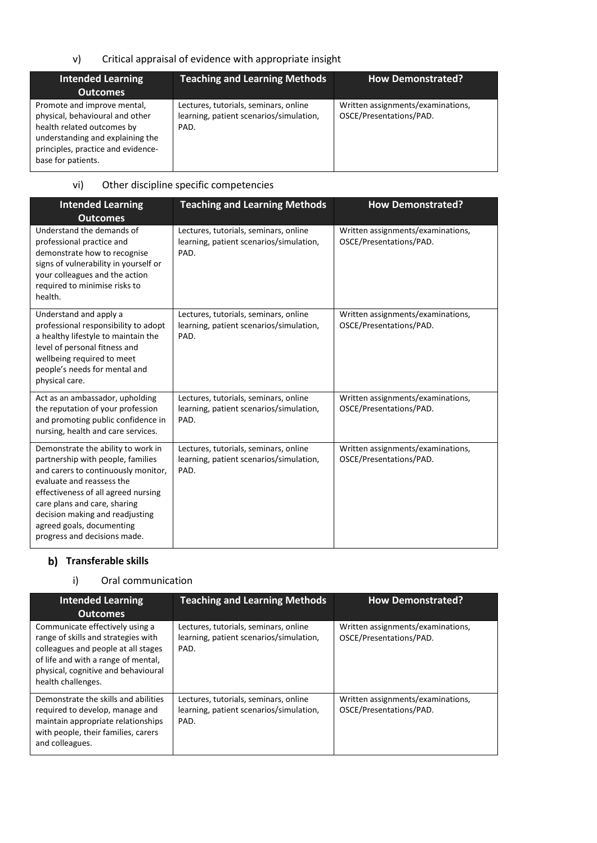### v) Critical appraisal of evidence with appropriate insight

| <b>Intended Learning</b><br><b>Outcomes</b>                                                                                                                                                  | <b>Teaching and Learning Methods</b>                                                     | <b>How Demonstrated?</b>                                     |
|----------------------------------------------------------------------------------------------------------------------------------------------------------------------------------------------|------------------------------------------------------------------------------------------|--------------------------------------------------------------|
| Promote and improve mental,<br>physical, behavioural and other<br>health related outcomes by<br>understanding and explaining the<br>principles, practice and evidence-<br>base for patients. | Lectures, tutorials, seminars, online<br>learning, patient scenarios/simulation,<br>PAD. | Written assignments/examinations,<br>OSCE/Presentations/PAD. |

### vi) Other discipline specific competencies

| <b>Intended Learning</b><br><b>Outcomes</b>                                                                                                                                                                                                                                                                        | <b>Teaching and Learning Methods</b>                                                     | <b>How Demonstrated?</b>                                     |
|--------------------------------------------------------------------------------------------------------------------------------------------------------------------------------------------------------------------------------------------------------------------------------------------------------------------|------------------------------------------------------------------------------------------|--------------------------------------------------------------|
| Understand the demands of<br>professional practice and<br>demonstrate how to recognise<br>signs of vulnerability in yourself or<br>your colleagues and the action<br>required to minimise risks to<br>health.                                                                                                      | Lectures, tutorials, seminars, online<br>learning, patient scenarios/simulation,<br>PAD. | Written assignments/examinations,<br>OSCE/Presentations/PAD. |
| Understand and apply a<br>professional responsibility to adopt<br>a healthy lifestyle to maintain the<br>level of personal fitness and<br>wellbeing required to meet<br>people's needs for mental and<br>physical care.                                                                                            | Lectures, tutorials, seminars, online<br>learning, patient scenarios/simulation,<br>PAD. | Written assignments/examinations,<br>OSCE/Presentations/PAD. |
| Act as an ambassador, upholding<br>the reputation of your profession<br>and promoting public confidence in<br>nursing, health and care services.                                                                                                                                                                   | Lectures, tutorials, seminars, online<br>learning, patient scenarios/simulation,<br>PAD. | Written assignments/examinations,<br>OSCE/Presentations/PAD. |
| Demonstrate the ability to work in<br>partnership with people, families<br>and carers to continuously monitor,<br>evaluate and reassess the<br>effectiveness of all agreed nursing<br>care plans and care, sharing<br>decision making and readjusting<br>agreed goals, documenting<br>progress and decisions made. | Lectures, tutorials, seminars, online<br>learning, patient scenarios/simulation,<br>PAD. | Written assignments/examinations,<br>OSCE/Presentations/PAD. |

### **Transferable skills**

### i) Oral communication

| <b>Intended Learning</b><br><b>Outcomes</b>                                                                                                                                                                       | <b>Teaching and Learning Methods</b>                                                     | <b>How Demonstrated?</b>                                     |
|-------------------------------------------------------------------------------------------------------------------------------------------------------------------------------------------------------------------|------------------------------------------------------------------------------------------|--------------------------------------------------------------|
| Communicate effectively using a<br>range of skills and strategies with<br>colleagues and people at all stages<br>of life and with a range of mental,<br>physical, cognitive and behavioural<br>health challenges. | Lectures, tutorials, seminars, online<br>learning, patient scenarios/simulation,<br>PAD. | Written assignments/examinations,<br>OSCE/Presentations/PAD. |
| Demonstrate the skills and abilities<br>required to develop, manage and<br>maintain appropriate relationships<br>with people, their families, carers<br>and colleagues.                                           | Lectures, tutorials, seminars, online<br>learning, patient scenarios/simulation,<br>PAD. | Written assignments/examinations,<br>OSCE/Presentations/PAD. |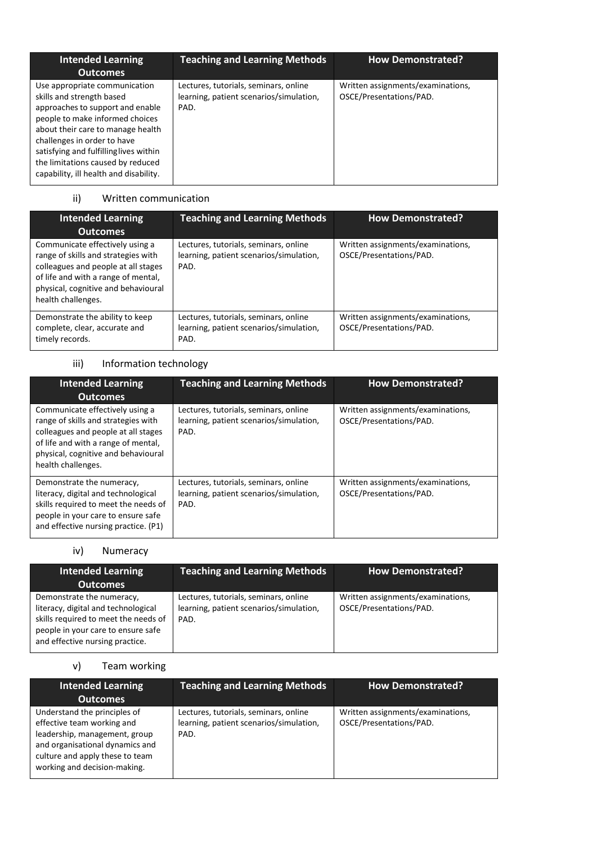| <b>Intended Learning</b>                                                                                                                                                                                                                                                                                                       | <b>Teaching and Learning Methods</b>                                                     | <b>How Demonstrated?</b>                                     |
|--------------------------------------------------------------------------------------------------------------------------------------------------------------------------------------------------------------------------------------------------------------------------------------------------------------------------------|------------------------------------------------------------------------------------------|--------------------------------------------------------------|
| <b>Outcomes</b>                                                                                                                                                                                                                                                                                                                |                                                                                          |                                                              |
| Use appropriate communication<br>skills and strength based<br>approaches to support and enable<br>people to make informed choices<br>about their care to manage health<br>challenges in order to have<br>satisfying and fulfilling lives within<br>the limitations caused by reduced<br>capability, ill health and disability. | Lectures, tutorials, seminars, online<br>learning, patient scenarios/simulation,<br>PAD. | Written assignments/examinations,<br>OSCE/Presentations/PAD. |

### ii) Written communication

| <b>Intended Learning</b><br><b>Outcomes</b>                                                                                                                                                                       | <b>Teaching and Learning Methods</b>                                                     | <b>How Demonstrated?</b>                                     |
|-------------------------------------------------------------------------------------------------------------------------------------------------------------------------------------------------------------------|------------------------------------------------------------------------------------------|--------------------------------------------------------------|
| Communicate effectively using a<br>range of skills and strategies with<br>colleagues and people at all stages<br>of life and with a range of mental,<br>physical, cognitive and behavioural<br>health challenges. | Lectures, tutorials, seminars, online<br>learning, patient scenarios/simulation,<br>PAD. | Written assignments/examinations,<br>OSCE/Presentations/PAD. |
| Demonstrate the ability to keep<br>complete, clear, accurate and<br>timely records.                                                                                                                               | Lectures, tutorials, seminars, online<br>learning, patient scenarios/simulation,<br>PAD. | Written assignments/examinations,<br>OSCE/Presentations/PAD. |

### iii) Information technology

| <b>Intended Learning</b><br><b>Outcomes</b>                                                                                                                                                                       | <b>Teaching and Learning Methods</b>                                                     | <b>How Demonstrated?</b>                                     |
|-------------------------------------------------------------------------------------------------------------------------------------------------------------------------------------------------------------------|------------------------------------------------------------------------------------------|--------------------------------------------------------------|
| Communicate effectively using a<br>range of skills and strategies with<br>colleagues and people at all stages<br>of life and with a range of mental,<br>physical, cognitive and behavioural<br>health challenges. | Lectures, tutorials, seminars, online<br>learning, patient scenarios/simulation,<br>PAD. | Written assignments/examinations,<br>OSCE/Presentations/PAD. |
| Demonstrate the numeracy,<br>literacy, digital and technological<br>skills required to meet the needs of<br>people in your care to ensure safe<br>and effective nursing practice. (P1)                            | Lectures, tutorials, seminars, online<br>learning, patient scenarios/simulation,<br>PAD. | Written assignments/examinations,<br>OSCE/Presentations/PAD. |

### iv) Numeracy

| <b>Intended Learning</b><br><b>Outcomes</b>                                                                                                                                       | <b>Teaching and Learning Methods</b>                                                     | <b>How Demonstrated?</b>                                     |
|-----------------------------------------------------------------------------------------------------------------------------------------------------------------------------------|------------------------------------------------------------------------------------------|--------------------------------------------------------------|
| Demonstrate the numeracy,<br>literacy, digital and technological<br>skills required to meet the needs of<br>people in your care to ensure safe<br>and effective nursing practice. | Lectures, tutorials, seminars, online<br>learning, patient scenarios/simulation,<br>PAD. | Written assignments/examinations,<br>OSCE/Presentations/PAD. |

### v) Team working

| Intended Learning<br><b>Outcomes</b>                                                                                                                                                              | <b>Teaching and Learning Methods</b>                                                     | <b>How Demonstrated?</b>                                     |
|---------------------------------------------------------------------------------------------------------------------------------------------------------------------------------------------------|------------------------------------------------------------------------------------------|--------------------------------------------------------------|
| Understand the principles of<br>effective team working and<br>leadership, management, group<br>and organisational dynamics and<br>culture and apply these to team<br>working and decision-making. | Lectures, tutorials, seminars, online<br>learning, patient scenarios/simulation,<br>PAD. | Written assignments/examinations,<br>OSCE/Presentations/PAD. |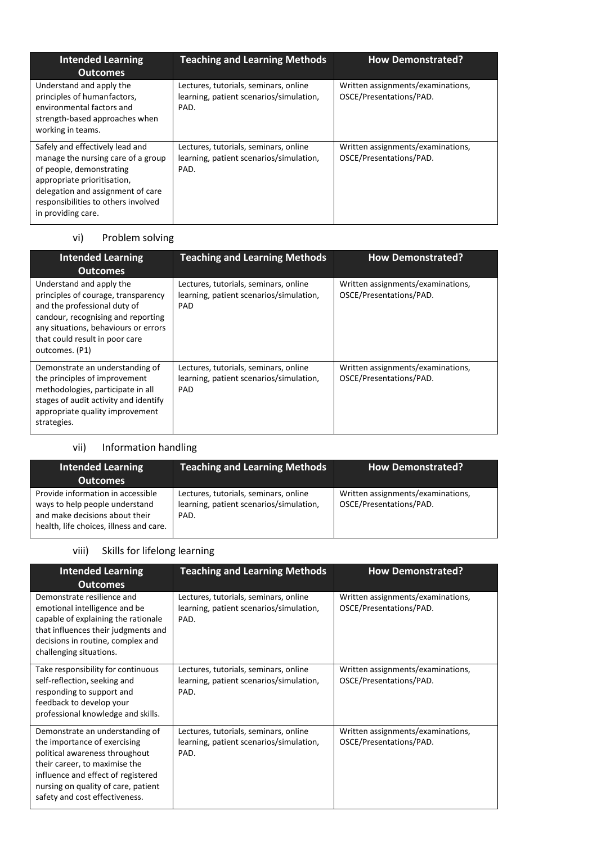| <b>Intended Learning</b><br><b>Outcomes</b>                                                                                                                                                                                        | <b>Teaching and Learning Methods</b>                                                     | <b>How Demonstrated?</b>                                     |
|------------------------------------------------------------------------------------------------------------------------------------------------------------------------------------------------------------------------------------|------------------------------------------------------------------------------------------|--------------------------------------------------------------|
| Understand and apply the<br>principles of humanfactors,<br>environmental factors and<br>strength-based approaches when<br>working in teams.                                                                                        | Lectures, tutorials, seminars, online<br>learning, patient scenarios/simulation,<br>PAD. | Written assignments/examinations,<br>OSCE/Presentations/PAD. |
| Safely and effectively lead and<br>manage the nursing care of a group<br>of people, demonstrating<br>appropriate prioritisation,<br>delegation and assignment of care<br>responsibilities to others involved<br>in providing care. | Lectures, tutorials, seminars, online<br>learning, patient scenarios/simulation,<br>PAD. | Written assignments/examinations,<br>OSCE/Presentations/PAD. |

### vi) Problem solving

| <b>Intended Learning</b><br><b>Outcomes</b>                                                                                                                                                                                       | <b>Teaching and Learning Methods</b>                                                           | <b>How Demonstrated?</b>                                     |
|-----------------------------------------------------------------------------------------------------------------------------------------------------------------------------------------------------------------------------------|------------------------------------------------------------------------------------------------|--------------------------------------------------------------|
| Understand and apply the<br>principles of courage, transparency<br>and the professional duty of<br>candour, recognising and reporting<br>any situations, behaviours or errors<br>that could result in poor care<br>outcomes. (P1) | Lectures, tutorials, seminars, online<br>learning, patient scenarios/simulation,<br><b>PAD</b> | Written assignments/examinations,<br>OSCE/Presentations/PAD. |
| Demonstrate an understanding of<br>the principles of improvement<br>methodologies, participate in all<br>stages of audit activity and identify<br>appropriate quality improvement<br>strategies.                                  | Lectures, tutorials, seminars, online<br>learning, patient scenarios/simulation,<br>PAD        | Written assignments/examinations,<br>OSCE/Presentations/PAD. |

### vii) Information handling

| <b>Intended Learning</b><br><b>Outcomes</b>                                                                                                      | <b>Teaching and Learning Methods</b>                                                     | <b>How Demonstrated?</b>                                     |
|--------------------------------------------------------------------------------------------------------------------------------------------------|------------------------------------------------------------------------------------------|--------------------------------------------------------------|
| Provide information in accessible<br>ways to help people understand<br>and make decisions about their<br>health, life choices, illness and care. | Lectures, tutorials, seminars, online<br>learning, patient scenarios/simulation,<br>PAD. | Written assignments/examinations,<br>OSCE/Presentations/PAD. |

### viii) Skills for lifelong learning

| <b>Intended Learning</b><br><b>Outcomes</b>                                                                                                                                                                                                       | <b>Teaching and Learning Methods</b>                                                     | <b>How Demonstrated?</b>                                     |
|---------------------------------------------------------------------------------------------------------------------------------------------------------------------------------------------------------------------------------------------------|------------------------------------------------------------------------------------------|--------------------------------------------------------------|
| Demonstrate resilience and<br>emotional intelligence and be<br>capable of explaining the rationale<br>that influences their judgments and<br>decisions in routine, complex and<br>challenging situations.                                         | Lectures, tutorials, seminars, online<br>learning, patient scenarios/simulation,<br>PAD. | Written assignments/examinations,<br>OSCE/Presentations/PAD. |
| Take responsibility for continuous<br>self-reflection, seeking and<br>responding to support and<br>feedback to develop your<br>professional knowledge and skills.                                                                                 | Lectures, tutorials, seminars, online<br>learning, patient scenarios/simulation,<br>PAD. | Written assignments/examinations,<br>OSCE/Presentations/PAD. |
| Demonstrate an understanding of<br>the importance of exercising<br>political awareness throughout<br>their career, to maximise the<br>influence and effect of registered<br>nursing on quality of care, patient<br>safety and cost effectiveness. | Lectures, tutorials, seminars, online<br>learning, patient scenarios/simulation,<br>PAD. | Written assignments/examinations,<br>OSCE/Presentations/PAD. |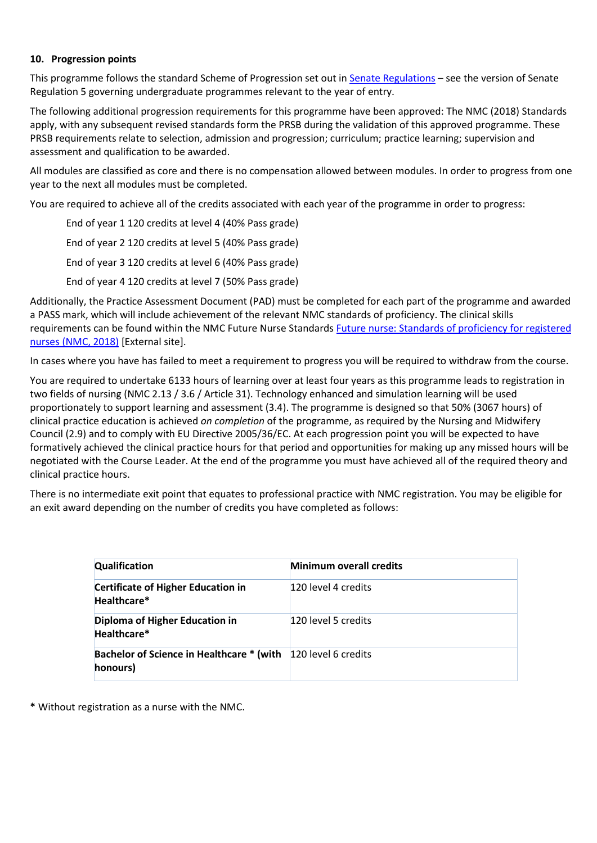#### **10. Progression points**

This programme follows the standard Scheme of Progression set out in [Senate Regulations](http://www.le.ac.uk/senate-regulations) – see the version of Senate Regulation 5 governing undergraduate programmes relevant to the year of entry.

The following additional progression requirements for this programme have been approved: The NMC (2018) Standards apply, with any subsequent revised standards form the PRSB during the validation of this approved programme. These PRSB requirements relate to selection, admission and progression; curriculum; practice learning; supervision and assessment and qualification to be awarded.

All modules are classified as core and there is no compensation allowed between modules. In order to progress from one year to the next all modules must be completed.

You are required to achieve all of the credits associated with each year of the programme in order to progress:

End of year 1 120 credits at level 4 (40% Pass grade) End of year 2 120 credits at level 5 (40% Pass grade) End of year 3 120 credits at level 6 (40% Pass grade) End of year 4 120 credits at level 7 (50% Pass grade)

Additionally, the Practice Assessment Document (PAD) must be completed for each part of the programme and awarded a PASS mark, which will include achievement of the relevant NMC standards of proficiency. The clinical skills requirements can be found within the NMC Future Nurse Standards Future nurse: Standards of proficiency for registered nurses [\(NMC, 2018\)](https://www.nmc.org.uk/globalassets/sitedocuments/education-standards/future-nurse-proficiencies.pdf) [External site].

In cases where you have has failed to meet a requirement to progress you will be required to withdraw from the course.

You are required to undertake 6133 hours of learning over at least four years as this programme leads to registration in two fields of nursing (NMC 2.13 / 3.6 / Article 31). Technology enhanced and simulation learning will be used proportionately to support learning and assessment (3.4). The programme is designed so that 50% (3067 hours) of clinical practice education is achieved *on completion* of the programme, as required by the Nursing and Midwifery Council (2.9) and to comply with EU Directive 2005/36/EC. At each progression point you will be expected to have formatively achieved the clinical practice hours for that period and opportunities for making up any missed hours will be negotiated with the Course Leader. At the end of the programme you must have achieved all of the required theory and clinical practice hours.

There is no intermediate exit point that equates to professional practice with NMC registration. You may be eligible for an exit award depending on the number of credits you have completed as follows:

| <b>Qualification</b>                                                      | <b>Minimum overall credits</b> |
|---------------------------------------------------------------------------|--------------------------------|
| <b>Certificate of Higher Education in</b><br>Healthcare*                  | 120 level 4 credits            |
| Diploma of Higher Education in<br>Healthcare*                             | 120 level 5 credits            |
| Bachelor of Science in Healthcare * (with 120 level 6 credits<br>honours) |                                |

**\*** Without registration as a nurse with the NMC.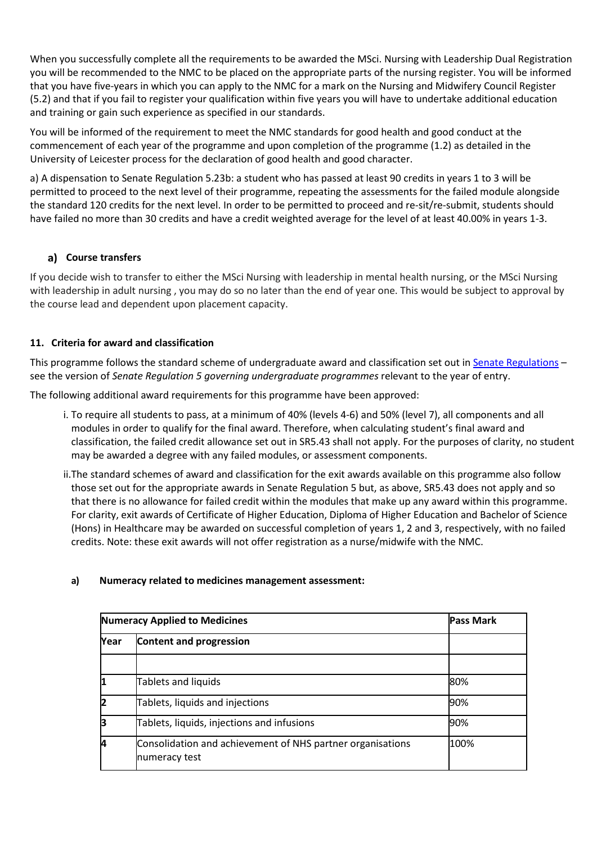When you successfully complete all the requirements to be awarded the MSci. Nursing with Leadership Dual Registration you will be recommended to the NMC to be placed on the appropriate parts of the nursing register. You will be informed that you have five-years in which you can apply to the NMC for a mark on the Nursing and Midwifery Council Register (5.2) and that if you fail to register your qualification within five years you will have to undertake additional education and training or gain such experience as specified in our standards.

You will be informed of the requirement to meet the NMC standards for good health and good conduct at the commencement of each year of the programme and upon completion of the programme (1.2) as detailed in the University of Leicester process for the declaration of good health and good character.

a) A dispensation to Senate Regulation 5.23b: a student who has passed at least 90 credits in years 1 to 3 will be permitted to proceed to the next level of their programme, repeating the assessments for the failed module alongside the standard 120 credits for the next level. In order to be permitted to proceed and re-sit/re-submit, students should have failed no more than 30 credits and have a credit weighted average for the level of at least 40.00% in years 1-3.

### **Course transfers**

If you decide wish to transfer to either the MSci Nursing with leadership in mental health nursing, or the MSci Nursing with leadership in adult nursing , you may do so no later than the end of year one. This would be subject to approval by the course lead and dependent upon placement capacity.

### **11. Criteria for award and classification**

This programme follows the standard scheme of undergraduate award and classification set out in [Senate Regulations](http://www.le.ac.uk/senate-regulations) – see the version of *Senate Regulation 5 governing undergraduate programmes* relevant to the year of entry.

The following additional award requirements for this programme have been approved:

- i. To require all students to pass, at a minimum of 40% (levels 4-6) and 50% (level 7), all components and all modules in order to qualify for the final award. Therefore, when calculating student's final award and classification, the failed credit allowance set out in SR5.43 shall not apply. For the purposes of clarity, no student may be awarded a degree with any failed modules, or assessment components.
- ii.The standard schemes of award and classification for the exit awards available on this programme also follow those set out for the appropriate awards in Senate Regulation 5 but, as above, SR5.43 does not apply and so that there is no allowance for failed credit within the modules that make up any award within this programme. For clarity, exit awards of Certificate of Higher Education, Diploma of Higher Education and Bachelor of Science (Hons) in Healthcare may be awarded on successful completion of years 1, 2 and 3, respectively, with no failed credits. Note: these exit awards will not offer registration as a nurse/midwife with the NMC.

### **a) Numeracy related to medicines management assessment:**

|            | <b>Numeracy Applied to Medicines</b>                                        |      |  |  |
|------------|-----------------------------------------------------------------------------|------|--|--|
| Year       |                                                                             |      |  |  |
|            |                                                                             |      |  |  |
| ľ          | Tablets and liquids                                                         | 80%  |  |  |
| 12         | Tablets, liquids and injections                                             | 90%  |  |  |
| ļЗ         | Tablets, liquids, injections and infusions                                  | 90%  |  |  |
| <b>l</b> 4 | Consolidation and achievement of NHS partner organisations<br>numeracy test | 100% |  |  |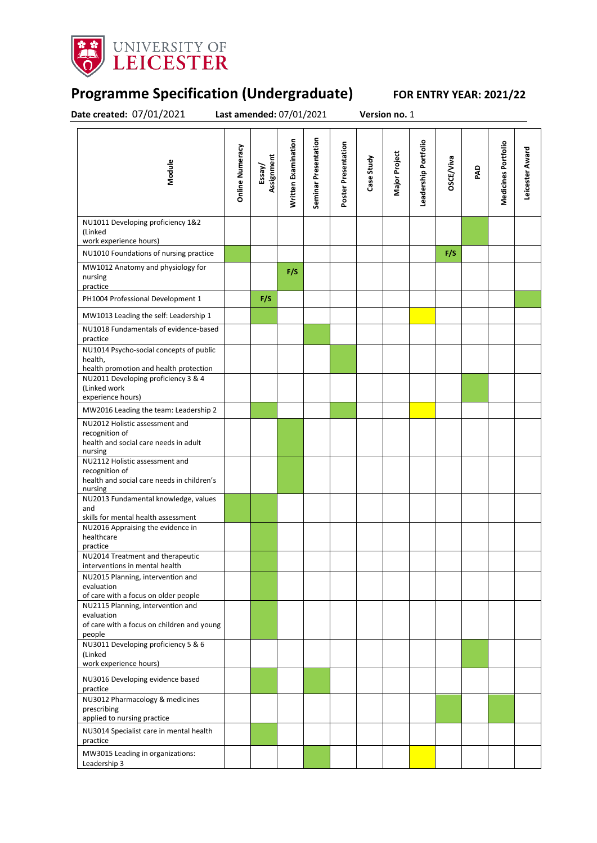

## **Programme Specification (Undergraduate) FOR ENTRY YEAR: 2021/22**

**Date created:** 07/01/2021 **Last amended:** 07/01/2021 **Version no.** 1

| Module                                                                                                    | <b>Online Numeracy</b> | Assignment<br>Essay/ | Written Examination | Seminar Presentation | Poster Presentation | Case Study | Major Project | Leadership Portfolio | <b>DSCE/Viva</b> | PAD | Medicines Portfolio | Leicester Award |
|-----------------------------------------------------------------------------------------------------------|------------------------|----------------------|---------------------|----------------------|---------------------|------------|---------------|----------------------|------------------|-----|---------------------|-----------------|
| NU1011 Developing proficiency 1&2<br>(Linked<br>work experience hours)                                    |                        |                      |                     |                      |                     |            |               |                      |                  |     |                     |                 |
| NU1010 Foundations of nursing practice                                                                    |                        |                      |                     |                      |                     |            |               |                      | F/S              |     |                     |                 |
| MW1012 Anatomy and physiology for<br>nursing<br>practice                                                  |                        |                      | F/S                 |                      |                     |            |               |                      |                  |     |                     |                 |
| PH1004 Professional Development 1                                                                         |                        | F/S                  |                     |                      |                     |            |               |                      |                  |     |                     |                 |
| MW1013 Leading the self: Leadership 1                                                                     |                        |                      |                     |                      |                     |            |               |                      |                  |     |                     |                 |
| NU1018 Fundamentals of evidence-based<br>practice                                                         |                        |                      |                     |                      |                     |            |               |                      |                  |     |                     |                 |
| NU1014 Psycho-social concepts of public<br>health,<br>health promotion and health protection              |                        |                      |                     |                      |                     |            |               |                      |                  |     |                     |                 |
| NU2011 Developing proficiency 3 & 4<br>(Linked work<br>experience hours)                                  |                        |                      |                     |                      |                     |            |               |                      |                  |     |                     |                 |
| MW2016 Leading the team: Leadership 2                                                                     |                        |                      |                     |                      |                     |            |               |                      |                  |     |                     |                 |
| NU2012 Holistic assessment and<br>recognition of<br>health and social care needs in adult<br>nursing      |                        |                      |                     |                      |                     |            |               |                      |                  |     |                     |                 |
| NU2112 Holistic assessment and<br>recognition of<br>health and social care needs in children's<br>nursing |                        |                      |                     |                      |                     |            |               |                      |                  |     |                     |                 |
| NU2013 Fundamental knowledge, values<br>and<br>skills for mental health assessment                        |                        |                      |                     |                      |                     |            |               |                      |                  |     |                     |                 |
| NU2016 Appraising the evidence in<br>healthcare<br>practice                                               |                        |                      |                     |                      |                     |            |               |                      |                  |     |                     |                 |
| NU2014 Treatment and therapeutic<br>interventions in mental health                                        |                        |                      |                     |                      |                     |            |               |                      |                  |     |                     |                 |
| NU2015 Planning, intervention and<br>evaluation<br>of care with a focus on older people                   |                        |                      |                     |                      |                     |            |               |                      |                  |     |                     |                 |
| NU2115 Planning, intervention and<br>evaluation<br>of care with a focus on children and young<br>people   |                        |                      |                     |                      |                     |            |               |                      |                  |     |                     |                 |
| NU3011 Developing proficiency 5 & 6<br>(Linked<br>work experience hours)                                  |                        |                      |                     |                      |                     |            |               |                      |                  |     |                     |                 |
| NU3016 Developing evidence based<br>practice                                                              |                        |                      |                     |                      |                     |            |               |                      |                  |     |                     |                 |
| NU3012 Pharmacology & medicines<br>prescribing<br>applied to nursing practice                             |                        |                      |                     |                      |                     |            |               |                      |                  |     |                     |                 |
| NU3014 Specialist care in mental health<br>practice                                                       |                        |                      |                     |                      |                     |            |               |                      |                  |     |                     |                 |
| MW3015 Leading in organizations:<br>Leadership 3                                                          |                        |                      |                     |                      |                     |            |               |                      |                  |     |                     |                 |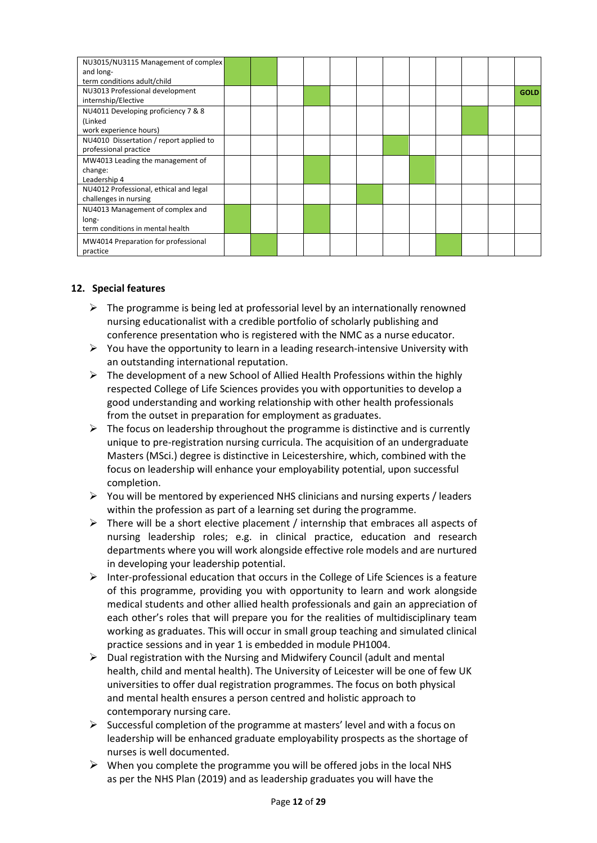| NU3015/NU3115 Management of complex<br>and long-                                      |  |  |  |  |  |             |
|---------------------------------------------------------------------------------------|--|--|--|--|--|-------------|
| term conditions adult/child<br>NU3013 Professional development<br>internship/Elective |  |  |  |  |  | <b>GOLD</b> |
| NU4011 Developing proficiency 7 & 8<br>(Linked<br>work experience hours)              |  |  |  |  |  |             |
| NU4010 Dissertation / report applied to<br>professional practice                      |  |  |  |  |  |             |
| MW4013 Leading the management of<br>change:<br>Leadership 4                           |  |  |  |  |  |             |
| NU4012 Professional, ethical and legal<br>challenges in nursing                       |  |  |  |  |  |             |
| NU4013 Management of complex and<br>long-<br>term conditions in mental health         |  |  |  |  |  |             |
| MW4014 Preparation for professional<br>practice                                       |  |  |  |  |  |             |

### **12. Special features**

- $\triangleright$  The programme is being led at professorial level by an internationally renowned nursing educationalist with a credible portfolio of scholarly publishing and conference presentation who is registered with the NMC as a nurse educator.
- $\triangleright$  You have the opportunity to learn in a leading research-intensive University with an outstanding international reputation.
- $\triangleright$  The development of a new School of Allied Health Professions within the highly respected College of Life Sciences provides you with opportunities to develop a good understanding and working relationship with other health professionals from the outset in preparation for employment as graduates.
- $\triangleright$  The focus on leadership throughout the programme is distinctive and is currently unique to pre-registration nursing curricula. The acquisition of an undergraduate Masters (MSci.) degree is distinctive in Leicestershire, which, combined with the focus on leadership will enhance your employability potential, upon successful completion.
- $\triangleright$  You will be mentored by experienced NHS clinicians and nursing experts / leaders within the profession as part of a learning set during the programme.
- $\triangleright$  There will be a short elective placement / internship that embraces all aspects of nursing leadership roles; e.g. in clinical practice, education and research departments where you will work alongside effective role models and are nurtured in developing your leadership potential.
- $\triangleright$  Inter-professional education that occurs in the College of Life Sciences is a feature of this programme, providing you with opportunity to learn and work alongside medical students and other allied health professionals and gain an appreciation of each other's roles that will prepare you for the realities of multidisciplinary team working as graduates. This will occur in small group teaching and simulated clinical practice sessions and in year 1 is embedded in module PH1004.
- $\triangleright$  Dual registration with the Nursing and Midwifery Council (adult and mental health, child and mental health). The University of Leicester will be one of few UK universities to offer dual registration programmes. The focus on both physical and mental health ensures a person centred and holistic approach to contemporary nursing care.
- $\triangleright$  Successful completion of the programme at masters' level and with a focus on leadership will be enhanced graduate employability prospects as the shortage of nurses is well documented.
- $\triangleright$  When you complete the programme you will be offered jobs in the local NHS as per the NHS Plan (2019) and as leadership graduates you will have the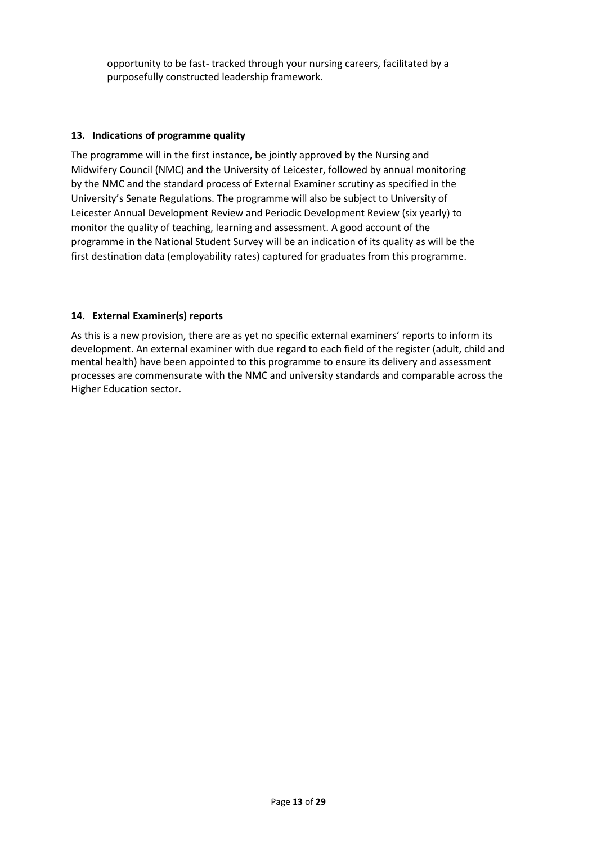opportunity to be fast- tracked through your nursing careers, facilitated by a purposefully constructed leadership framework.

#### **13. Indications of programme quality**

The programme will in the first instance, be jointly approved by the Nursing and Midwifery Council (NMC) and the University of Leicester, followed by annual monitoring by the NMC and the standard process of External Examiner scrutiny as specified in the University's Senate Regulations. The programme will also be subject to University of Leicester Annual Development Review and Periodic Development Review (six yearly) to monitor the quality of teaching, learning and assessment. A good account of the programme in the National Student Survey will be an indication of its quality as will be the first destination data (employability rates) captured for graduates from this programme.

#### **14. External Examiner(s) reports**

As this is a new provision, there are as yet no specific external examiners' reports to inform its development. An external examiner with due regard to each field of the register (adult, child and mental health) have been appointed to this programme to ensure its delivery and assessment processes are commensurate with the NMC and university standards and comparable across the Higher Education sector.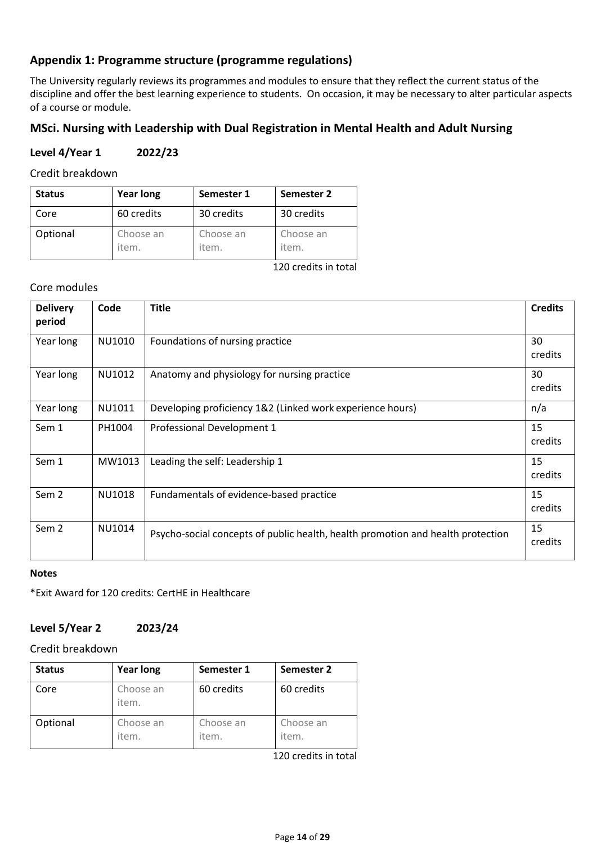### **Appendix 1: Programme structure (programme regulations)**

The University regularly reviews its programmes and modules to ensure that they reflect the current status of the discipline and offer the best learning experience to students. On occasion, it may be necessary to alter particular aspects of a course or module.

### **MSci. Nursing with Leadership with Dual Registration in Mental Health and Adult Nursing**

### **Level 4/Year 1 2022/23**

Credit breakdown

| <b>Status</b> | <b>Year long</b>   | Semester 1         | Semester 2         |
|---------------|--------------------|--------------------|--------------------|
| Core          | 60 credits         | 30 credits         | 30 credits         |
| Optional      | Choose an<br>item. | Choose an<br>item. | Choose an<br>item. |

120 credits in total

#### Core modules

| <b>Delivery</b><br>period | Code   | <b>Title</b>                                                                    | <b>Credits</b> |
|---------------------------|--------|---------------------------------------------------------------------------------|----------------|
| Year long                 | NU1010 | Foundations of nursing practice                                                 | 30<br>credits  |
| Year long                 | NU1012 | Anatomy and physiology for nursing practice                                     | 30<br>credits  |
| Year long                 | NU1011 | Developing proficiency 1&2 (Linked work experience hours)                       | n/a            |
| Sem 1                     | PH1004 | Professional Development 1                                                      | 15<br>credits  |
| Sem 1                     | MW1013 | Leading the self: Leadership 1                                                  | 15<br>credits  |
| Sem <sub>2</sub>          | NU1018 | Fundamentals of evidence-based practice                                         | 15<br>credits  |
| Sem <sub>2</sub>          | NU1014 | Psycho-social concepts of public health, health promotion and health protection | 15<br>credits  |

#### **Notes**

\*Exit Award for 120 credits: CertHE in Healthcare

### **Level 5/Year 2 2023/24**

### Credit breakdown

| <b>Status</b> | <b>Year long</b>   | Semester 1         | Semester 2         |
|---------------|--------------------|--------------------|--------------------|
| Core          | Choose an<br>item. | 60 credits         | 60 credits         |
| Optional      | Choose an<br>item. | Choose an<br>item. | Choose an<br>item. |

120 credits in total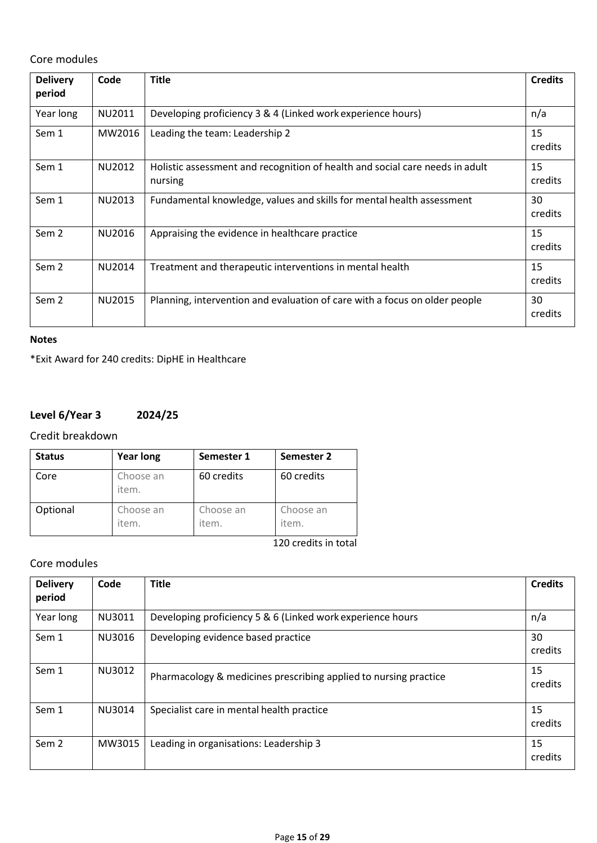Core modules

| <b>Delivery</b><br>period | Code   | <b>Title</b>                                                                            | <b>Credits</b> |
|---------------------------|--------|-----------------------------------------------------------------------------------------|----------------|
| Year long                 | NU2011 | Developing proficiency 3 & 4 (Linked work experience hours)                             | n/a            |
| Sem 1                     | MW2016 | Leading the team: Leadership 2                                                          | 15<br>credits  |
| Sem 1                     | NU2012 | Holistic assessment and recognition of health and social care needs in adult<br>nursing | 15<br>credits  |
| Sem 1                     | NU2013 | Fundamental knowledge, values and skills for mental health assessment                   | 30<br>credits  |
| Sem <sub>2</sub>          | NU2016 | Appraising the evidence in healthcare practice                                          | 15<br>credits  |
| Sem <sub>2</sub>          | NU2014 | Treatment and therapeutic interventions in mental health                                | 15<br>credits  |
| Sem <sub>2</sub>          | NU2015 | Planning, intervention and evaluation of care with a focus on older people              | 30<br>credits  |

#### **Notes**

\*Exit Award for 240 credits: DipHE in Healthcare

### **Level 6/Year 3 2024/25**

Credit breakdown

| <b>Status</b> | <b>Year long</b>   | Semester 1         | Semester 2             |
|---------------|--------------------|--------------------|------------------------|
| Core          | Choose an<br>item. | 60 credits         | 60 credits             |
| Optional      | Choose an<br>item. | Choose an<br>item. | Choose an<br>item.     |
|               |                    |                    | $120$ cradits in total |

120 credits in total

### Core modules

| <b>Delivery</b><br>period | Code   | <b>Title</b>                                                     | <b>Credits</b> |
|---------------------------|--------|------------------------------------------------------------------|----------------|
| Year long                 | NU3011 | Developing proficiency 5 & 6 (Linked work experience hours       | n/a            |
| Sem 1                     | NU3016 | Developing evidence based practice                               | 30<br>credits  |
| Sem 1                     | NU3012 | Pharmacology & medicines prescribing applied to nursing practice | 15<br>credits  |
| Sem 1                     | NU3014 | Specialist care in mental health practice                        | 15<br>credits  |
| Sem <sub>2</sub>          | MW3015 | Leading in organisations: Leadership 3                           | 15<br>credits  |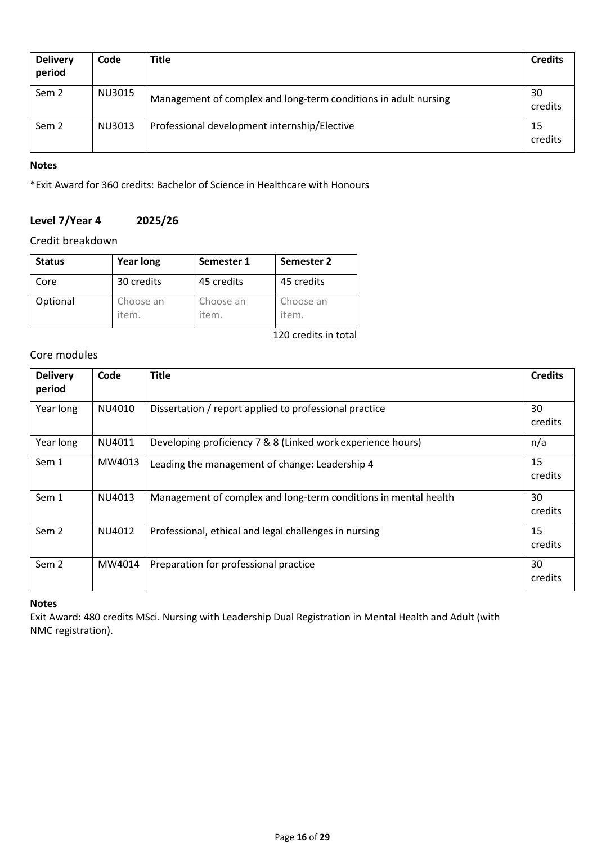| <b>Delivery</b><br>period | Code   | <b>Title</b>                                                    | <b>Credits</b> |
|---------------------------|--------|-----------------------------------------------------------------|----------------|
| Sem 2                     | NU3015 | Management of complex and long-term conditions in adult nursing | 30<br>credits  |
| Sem 2                     | NU3013 | Professional development internship/Elective                    | 15<br>credits  |

#### **Notes**

\*Exit Award for 360 credits: Bachelor of Science in Healthcare with Honours

### **Level 7/Year 4 2025/26**

### Credit breakdown

| <b>Status</b> | <b>Year long</b>   | Semester 1         | Semester 2         |
|---------------|--------------------|--------------------|--------------------|
| Core          | 30 credits         | 45 credits         | 45 credits         |
| Optional      | Choose an<br>item. | Choose an<br>item. | Choose an<br>item. |

120 credits in total

### Core modules

| <b>Delivery</b><br>period | Code   | <b>Title</b>                                                    | <b>Credits</b> |
|---------------------------|--------|-----------------------------------------------------------------|----------------|
| Year long                 | NU4010 | Dissertation / report applied to professional practice          | 30<br>credits  |
| Year long                 | NU4011 | Developing proficiency 7 & 8 (Linked work experience hours)     | n/a            |
| Sem 1                     | MW4013 | Leading the management of change: Leadership 4                  | 15<br>credits  |
| Sem 1                     | NU4013 | Management of complex and long-term conditions in mental health | 30<br>credits  |
| Sem <sub>2</sub>          | NU4012 | Professional, ethical and legal challenges in nursing           | 15<br>credits  |
| Sem <sub>2</sub>          | MW4014 | Preparation for professional practice                           | 30<br>credits  |

### **Notes**

Exit Award: 480 credits MSci. Nursing with Leadership Dual Registration in Mental Health and Adult (with NMC registration).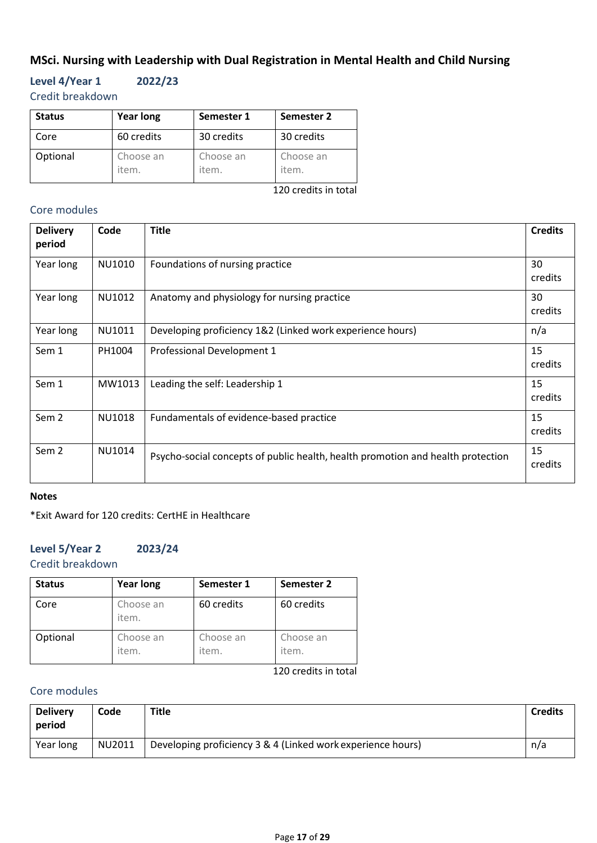### **MSci. Nursing with Leadership with Dual Registration in Mental Health and Child Nursing**

**Level 4/Year 1 2022/23** Credit breakdown

| <b>Status</b> | <b>Year long</b>   | Semester 1         | Semester 2         |
|---------------|--------------------|--------------------|--------------------|
| Core          | 60 credits         | 30 credits         | 30 credits         |
| Optional      | Choose an<br>item. | Choose an<br>item. | Choose an<br>item. |

120 credits in total

### Core modules

| <b>Delivery</b><br>period | Code   | <b>Title</b>                                                                    | <b>Credits</b> |
|---------------------------|--------|---------------------------------------------------------------------------------|----------------|
| Year long                 | NU1010 | Foundations of nursing practice                                                 | 30<br>credits  |
| Year long                 | NU1012 | Anatomy and physiology for nursing practice                                     | 30<br>credits  |
| Year long                 | NU1011 | Developing proficiency 1&2 (Linked work experience hours)                       | n/a            |
| Sem 1                     | PH1004 | Professional Development 1                                                      | 15<br>credits  |
| Sem 1                     | MW1013 | Leading the self: Leadership 1                                                  | 15<br>credits  |
| Sem <sub>2</sub>          | NU1018 | Fundamentals of evidence-based practice                                         | 15<br>credits  |
| Sem <sub>2</sub>          | NU1014 | Psycho-social concepts of public health, health promotion and health protection | 15<br>credits  |

#### **Notes**

\*Exit Award for 120 credits: CertHE in Healthcare

### **Level 5/Year 2 2023/24**

Credit breakdown

| <b>Status</b> | <b>Year long</b>   | Semester 1         | Semester 2         |
|---------------|--------------------|--------------------|--------------------|
| Core          | Choose an<br>item. | 60 credits         | 60 credits         |
| Optional      | Choose an<br>item. | Choose an<br>item. | Choose an<br>item. |

120 credits in total

### Core modules

| <b>Delivery</b><br>period | Code   | Title                                                       | <b>Credits</b> |
|---------------------------|--------|-------------------------------------------------------------|----------------|
| Year long                 | NU2011 | Developing proficiency 3 & 4 (Linked work experience hours) | n/a            |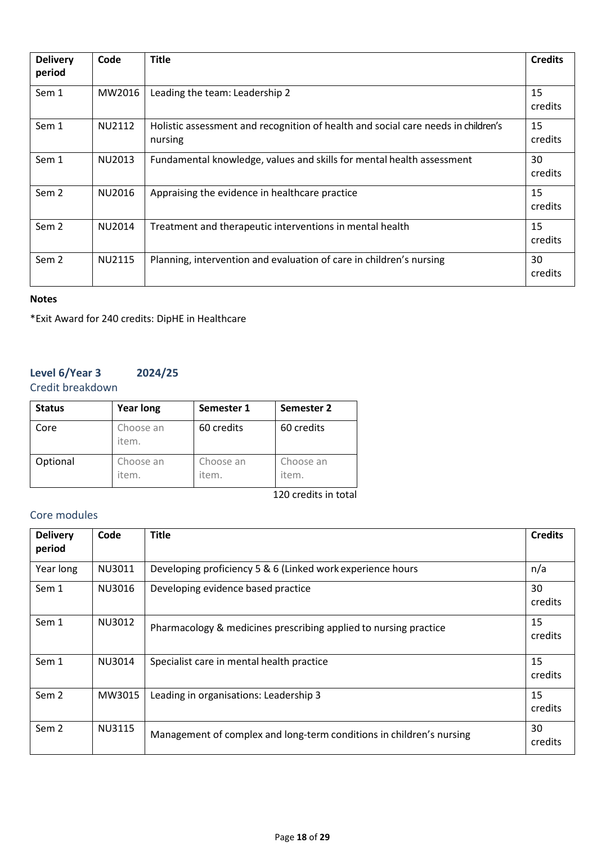| <b>Delivery</b><br>period | Code          | <b>Title</b>                                                                                 | <b>Credits</b> |
|---------------------------|---------------|----------------------------------------------------------------------------------------------|----------------|
| Sem 1                     | MW2016        | Leading the team: Leadership 2                                                               | 15<br>credits  |
| Sem 1                     | NU2112        | Holistic assessment and recognition of health and social care needs in children's<br>nursing | 15<br>credits  |
| Sem 1                     | NU2013        | Fundamental knowledge, values and skills for mental health assessment                        | 30<br>credits  |
| Sem 2                     | NU2016        | Appraising the evidence in healthcare practice                                               | 15<br>credits  |
| Sem 2                     | NU2014        | Treatment and therapeutic interventions in mental health                                     | 15<br>credits  |
| Sem 2                     | <b>NU2115</b> | Planning, intervention and evaluation of care in children's nursing                          | 30<br>credits  |

#### **Notes**

\*Exit Award for 240 credits: DipHE in Healthcare

### **Level 6/Year 3 2024/25** Credit breakdown

| <b>Status</b> | <b>Year long</b>   | Semester 1         | Semester 2         |
|---------------|--------------------|--------------------|--------------------|
| Core          | Choose an<br>item. | 60 credits         | 60 credits         |
| Optional      | Choose an<br>item. | Choose an<br>item. | Choose an<br>item. |

120 credits in total

### Core modules

| <b>Delivery</b><br>period | Code   | <b>Title</b>                                                         | <b>Credits</b> |
|---------------------------|--------|----------------------------------------------------------------------|----------------|
| Year long                 | NU3011 | Developing proficiency 5 & 6 (Linked work experience hours           | n/a            |
| Sem 1                     | NU3016 | Developing evidence based practice                                   | 30<br>credits  |
| Sem 1                     | NU3012 | Pharmacology & medicines prescribing applied to nursing practice     | 15<br>credits  |
| Sem 1                     | NU3014 | Specialist care in mental health practice                            | 15<br>credits  |
| Sem <sub>2</sub>          | MW3015 | Leading in organisations: Leadership 3                               | 15<br>credits  |
| Sem <sub>2</sub>          | NU3115 | Management of complex and long-term conditions in children's nursing | 30<br>credits  |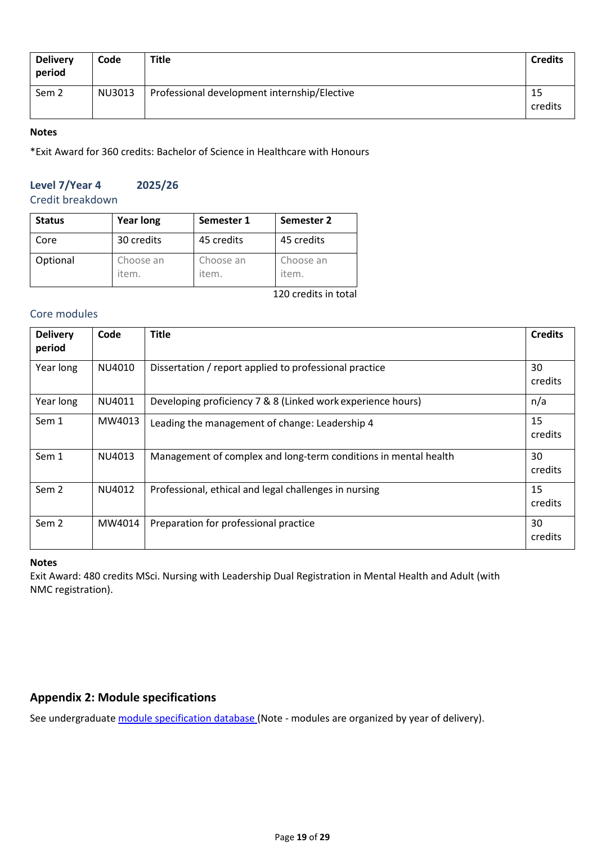| <b>Delivery</b><br>period | Code   | <b>Title</b>                                 | <b>Credits</b> |
|---------------------------|--------|----------------------------------------------|----------------|
| Sem 2                     | NU3013 | Professional development internship/Elective | -15<br>credits |

#### **Notes**

\*Exit Award for 360 credits: Bachelor of Science in Healthcare with Honours

## **Level 7/Year 4 2025/26**

Credit breakdown

| <b>Status</b> | <b>Year long</b>   | Semester 1         | Semester 2         |
|---------------|--------------------|--------------------|--------------------|
| Core          | 30 credits         | 45 credits         | 45 credits         |
| Optional      | Choose an<br>item. | Choose an<br>item. | Choose an<br>item. |

120 credits in total

### Core modules

| <b>Delivery</b><br>period | Code   | <b>Title</b>                                                    | <b>Credits</b> |  |  |  |  |  |
|---------------------------|--------|-----------------------------------------------------------------|----------------|--|--|--|--|--|
| Year long                 | NU4010 | Dissertation / report applied to professional practice          |                |  |  |  |  |  |
| Year long                 | NU4011 | Developing proficiency 7 & 8 (Linked work experience hours)     | n/a            |  |  |  |  |  |
| Sem 1                     | MW4013 | Leading the management of change: Leadership 4                  | 15<br>credits  |  |  |  |  |  |
| Sem 1                     | NU4013 | Management of complex and long-term conditions in mental health | 30<br>credits  |  |  |  |  |  |
| Sem <sub>2</sub>          | NU4012 | Professional, ethical and legal challenges in nursing           | 15<br>credits  |  |  |  |  |  |
| Sem 2                     | MW4014 | Preparation for professional practice                           | 30<br>credits  |  |  |  |  |  |

#### **Notes**

Exit Award: 480 credits MSci. Nursing with Leadership Dual Registration in Mental Health and Adult (with NMC registration).

### **Appendix 2: Module specifications**

See undergraduate [module specification database](http://www.le.ac.uk/sas/courses/documentation) (Note - modules are organized by year of delivery).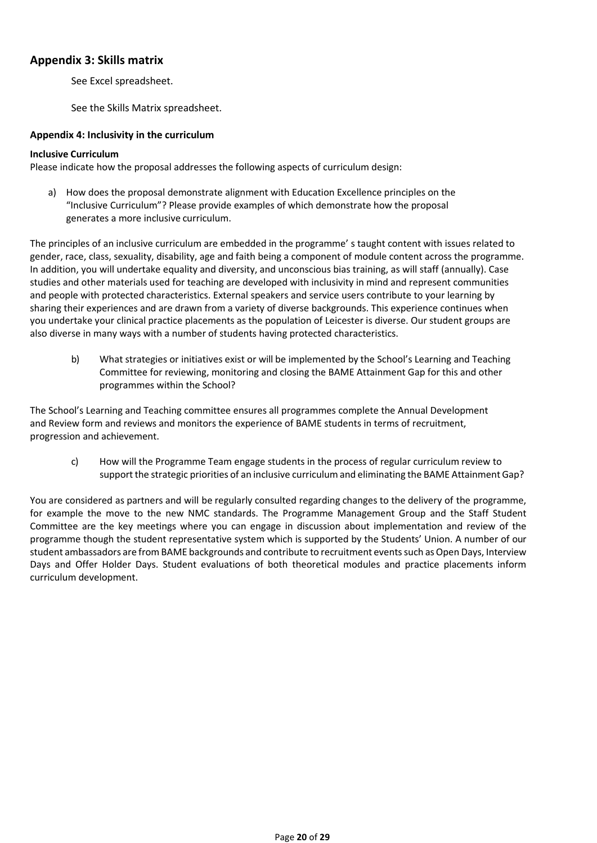### **Appendix 3: Skills matrix**

See Excel spreadsheet.

See the Skills Matrix spreadsheet.

#### **Appendix 4: Inclusivity in the curriculum**

#### **Inclusive Curriculum**

Please indicate how the proposal addresses the following aspects of curriculum design:

a) How does the proposal demonstrate alignment with Education Excellence principles on the "Inclusive Curriculum"? Please provide examples of which demonstrate how the proposal generates a more inclusive curriculum.

The principles of an inclusive curriculum are embedded in the programme' s taught content with issues related to gender, race, class, sexuality, disability, age and faith being a component of module content across the programme. In addition, you will undertake equality and diversity, and unconscious bias training, as will staff (annually). Case studies and other materials used for teaching are developed with inclusivity in mind and represent communities and people with protected characteristics. External speakers and service users contribute to your learning by sharing their experiences and are drawn from a variety of diverse backgrounds. This experience continues when you undertake your clinical practice placements as the population of Leicester is diverse. Our student groups are also diverse in many ways with a number of students having protected characteristics.

b) What strategies or initiatives exist or will be implemented by the School's Learning and Teaching Committee for reviewing, monitoring and closing the BAME Attainment Gap for this and other programmes within the School?

The School's Learning and Teaching committee ensures all programmes complete the Annual Development and Review form and reviews and monitors the experience of BAME students in terms of recruitment, progression and achievement.

c) How will the Programme Team engage students in the process of regular curriculum review to support the strategic priorities of an inclusive curriculum and eliminating the BAME Attainment Gap?

You are considered as partners and will be regularly consulted regarding changes to the delivery of the programme, for example the move to the new NMC standards. The Programme Management Group and the Staff Student Committee are the key meetings where you can engage in discussion about implementation and review of the programme though the student representative system which is supported by the Students' Union. A number of our student ambassadors are from BAME backgrounds and contribute to recruitment events such as Open Days, Interview Days and Offer Holder Days. Student evaluations of both theoretical modules and practice placements inform curriculum development.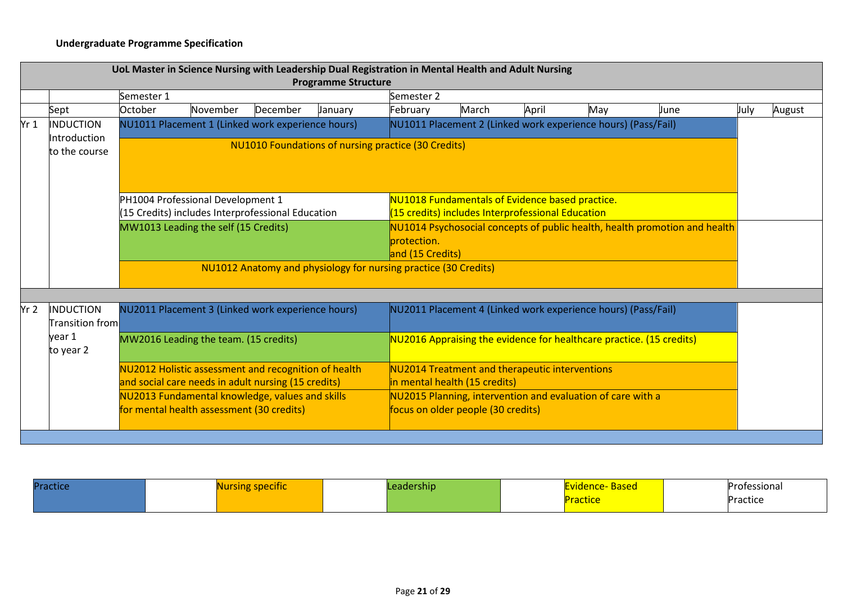### **Undergraduate Programme Specification**

|                 |                                                                                                                                                       |                                                                                                                                                                                                |                                                                                                             |          | UoL Master in Science Nursing with Leadership Dual Registration in Mental Health and Adult Nursing<br><b>Programme Structure</b> |            |                                                                                        |       |                                                                      |      |      |        |  |  |  |  |
|-----------------|-------------------------------------------------------------------------------------------------------------------------------------------------------|------------------------------------------------------------------------------------------------------------------------------------------------------------------------------------------------|-------------------------------------------------------------------------------------------------------------|----------|----------------------------------------------------------------------------------------------------------------------------------|------------|----------------------------------------------------------------------------------------|-------|----------------------------------------------------------------------|------|------|--------|--|--|--|--|
|                 |                                                                                                                                                       | Semester 1                                                                                                                                                                                     |                                                                                                             |          |                                                                                                                                  | Semester 2 |                                                                                        |       |                                                                      |      |      |        |  |  |  |  |
|                 | Sept                                                                                                                                                  | October                                                                                                                                                                                        | November                                                                                                    | December | January                                                                                                                          | February   | March                                                                                  | April | May                                                                  | June | July | August |  |  |  |  |
| Yr <sub>1</sub> | <b>INDUCTION</b><br>Introduction                                                                                                                      | NU1011 Placement 2 (Linked work experience hours) (Pass/Fail)<br>NU1011 Placement 1 (Linked work experience hours)                                                                             |                                                                                                             |          |                                                                                                                                  |            |                                                                                        |       |                                                                      |      |      |        |  |  |  |  |
|                 | <b>NU1010 Foundations of nursing practice (30 Credits)</b><br>to the course                                                                           |                                                                                                                                                                                                |                                                                                                             |          |                                                                                                                                  |            |                                                                                        |       |                                                                      |      |      |        |  |  |  |  |
|                 |                                                                                                                                                       | PH1004 Professional Development 1<br>NU1018 Fundamentals of Evidence based practice.<br>(15 Credits) includes Interprofessional Education<br>(15 credits) includes Interprofessional Education |                                                                                                             |          |                                                                                                                                  |            |                                                                                        |       |                                                                      |      |      |        |  |  |  |  |
|                 | NU1014 Psychosocial concepts of public health, health promotion and health<br>MW1013 Leading the self (15 Credits)<br>protection.<br>and (15 Credits) |                                                                                                                                                                                                |                                                                                                             |          |                                                                                                                                  |            |                                                                                        |       |                                                                      |      |      |        |  |  |  |  |
|                 |                                                                                                                                                       |                                                                                                                                                                                                |                                                                                                             |          | NU1012 Anatomy and physiology for nursing practice (30 Credits)                                                                  |            |                                                                                        |       |                                                                      |      |      |        |  |  |  |  |
| Yr <sub>2</sub> | <b>INDUCTION</b><br>Transition from                                                                                                                   |                                                                                                                                                                                                | NU2011 Placement 3 (Linked work experience hours)                                                           |          |                                                                                                                                  |            |                                                                                        |       | NU2011 Placement 4 (Linked work experience hours) (Pass/Fail)        |      |      |        |  |  |  |  |
|                 | year 1<br>to year 2                                                                                                                                   |                                                                                                                                                                                                | MW2016 Leading the team. (15 credits)                                                                       |          |                                                                                                                                  |            |                                                                                        |       | NU2016 Appraising the evidence for healthcare practice. (15 credits) |      |      |        |  |  |  |  |
|                 |                                                                                                                                                       |                                                                                                                                                                                                | NU2012 Holistic assessment and recognition of health<br>and social care needs in adult nursing (15 credits) |          |                                                                                                                                  |            | <b>NU2014 Treatment and therapeutic interventions</b><br>in mental health (15 credits) |       |                                                                      |      |      |        |  |  |  |  |
|                 |                                                                                                                                                       |                                                                                                                                                                                                | NU2013 Fundamental knowledge, values and skills<br>for mental health assessment (30 credits)                |          |                                                                                                                                  |            | focus on older people (30 credits)                                                     |       | NU2015 Planning, intervention and evaluation of care with a          |      |      |        |  |  |  |  |
|                 |                                                                                                                                                       |                                                                                                                                                                                                |                                                                                                             |          |                                                                                                                                  |            |                                                                                        |       |                                                                      |      |      |        |  |  |  |  |

| <b>Practice</b> | <u>ursing specific</u> | ership | <u>Based</u><br>. . | Professional |
|-----------------|------------------------|--------|---------------------|--------------|
|                 |                        |        | actice              | Practice     |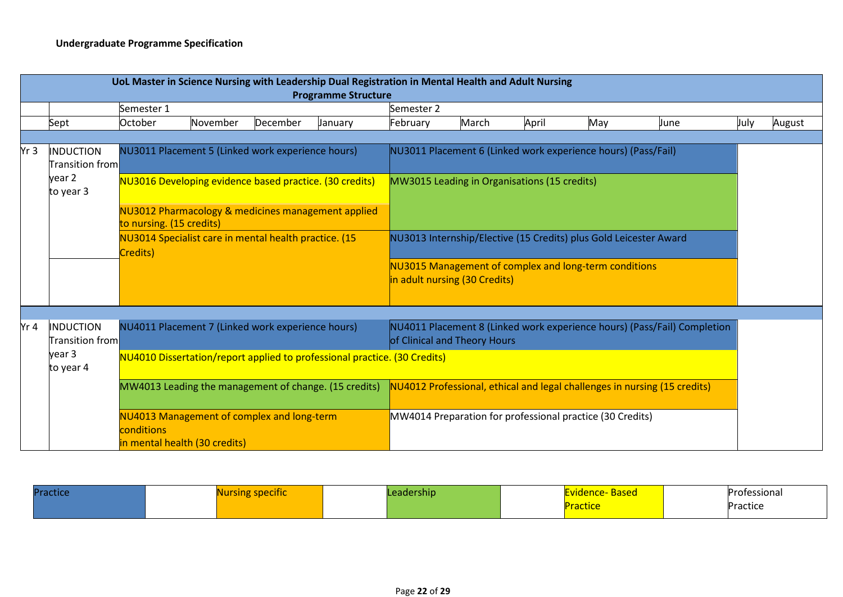|      | UoL Master in Science Nursing with Leadership Dual Registration in Mental Health and Adult Nursing<br><b>Programme Structure</b> |                                                                                           |          |          |                                                       |                                                                           |                                              |       |                                                           |                                                                           |      |        |  |  |
|------|----------------------------------------------------------------------------------------------------------------------------------|-------------------------------------------------------------------------------------------|----------|----------|-------------------------------------------------------|---------------------------------------------------------------------------|----------------------------------------------|-------|-----------------------------------------------------------|---------------------------------------------------------------------------|------|--------|--|--|
|      |                                                                                                                                  | Semester 1                                                                                |          |          |                                                       | Semester 2                                                                |                                              |       |                                                           |                                                                           |      |        |  |  |
|      | Sept                                                                                                                             | October                                                                                   | November | December | January                                               | February                                                                  | March                                        | April | May                                                       | June                                                                      | July | August |  |  |
|      |                                                                                                                                  |                                                                                           |          |          |                                                       |                                                                           |                                              |       |                                                           |                                                                           |      |        |  |  |
| Yr 3 | <b>INDUCTION</b><br><b>Transition from</b><br>year 2<br>to year 3                                                                | NU3011 Placement 5 (Linked work experience hours)                                         |          |          |                                                       | NU3011 Placement 6 (Linked work experience hours) (Pass/Fail)             |                                              |       |                                                           |                                                                           |      |        |  |  |
|      |                                                                                                                                  | NU3016 Developing evidence based practice. (30 credits)                                   |          |          |                                                       |                                                                           | MW3015 Leading in Organisations (15 credits) |       |                                                           |                                                                           |      |        |  |  |
|      |                                                                                                                                  | NU3012 Pharmacology & medicines management applied<br>to nursing. (15 credits)            |          |          |                                                       |                                                                           |                                              |       |                                                           |                                                                           |      |        |  |  |
|      |                                                                                                                                  | NU3014 Specialist care in mental health practice. (15<br>Credits)                         |          |          |                                                       | NU3013 Internship/Elective (15 Credits) plus Gold Leicester Award         |                                              |       |                                                           |                                                                           |      |        |  |  |
|      |                                                                                                                                  |                                                                                           |          |          |                                                       |                                                                           | in adult nursing (30 Credits)                |       | NU3015 Management of complex and long-term conditions     |                                                                           |      |        |  |  |
|      |                                                                                                                                  |                                                                                           |          |          |                                                       |                                                                           |                                              |       |                                                           |                                                                           |      |        |  |  |
| Yr 4 | <b>INDUCTION</b><br><b>Transition from</b>                                                                                       | NU4011 Placement 7 (Linked work experience hours)                                         |          |          |                                                       |                                                                           | of Clinical and Theory Hours                 |       |                                                           | NU4011 Placement 8 (Linked work experience hours) (Pass/Fail) Completion  |      |        |  |  |
|      | year 3<br>to year 4                                                                                                              |                                                                                           |          |          |                                                       | NU4010 Dissertation/report applied to professional practice. (30 Credits) |                                              |       |                                                           |                                                                           |      |        |  |  |
|      |                                                                                                                                  |                                                                                           |          |          | MW4013 Leading the management of change. (15 credits) |                                                                           |                                              |       |                                                           | NU4012 Professional, ethical and legal challenges in nursing (15 credits) |      |        |  |  |
|      |                                                                                                                                  | NU4013 Management of complex and long-term<br>conditions<br>in mental health (30 credits) |          |          |                                                       |                                                                           |                                              |       | MW4014 Preparation for professional practice (30 Credits) |                                                                           |      |        |  |  |

| Practice | <b>SPECITIC</b> | dership <sup>1</sup><br>cour | vidence-<br><b>Based</b> | Professional |
|----------|-----------------|------------------------------|--------------------------|--------------|
|          |                 |                              | <b>Practice</b>          | Practice     |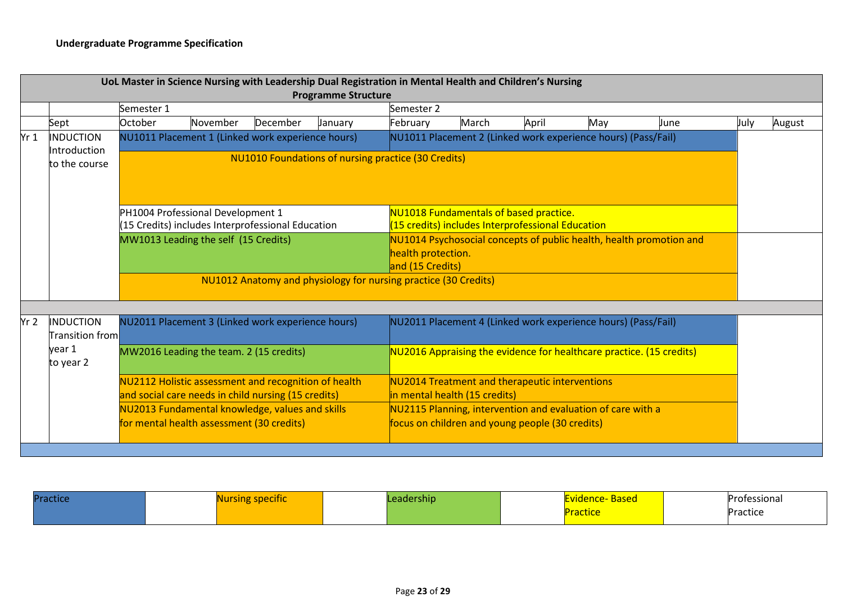|                 |                                            |            | UoL Master in Science Nursing with Leadership Dual Registration in Mental Health and Children's Nursing     |          | <b>Programme Structure</b>                                      |                                                                                                                |                                                                                             |       |                                                               |      |      |        |
|-----------------|--------------------------------------------|------------|-------------------------------------------------------------------------------------------------------------|----------|-----------------------------------------------------------------|----------------------------------------------------------------------------------------------------------------|---------------------------------------------------------------------------------------------|-------|---------------------------------------------------------------|------|------|--------|
|                 |                                            | Semester 1 |                                                                                                             |          |                                                                 | Semester 2                                                                                                     |                                                                                             |       |                                                               |      |      |        |
|                 | Sept                                       | October    | November                                                                                                    | December | January                                                         | February                                                                                                       | March                                                                                       | April | May                                                           | June | July | August |
| Yr <sub>1</sub> | INDUCTION<br>Introduction<br>to the course |            | NU1011 Placement 1 (Linked work experience hours)                                                           |          | <b>NU1010 Foundations of nursing practice (30 Credits)</b>      |                                                                                                                |                                                                                             |       | NU1011 Placement 2 (Linked work experience hours) (Pass/Fail) |      |      |        |
|                 |                                            |            | PH1004 Professional Development 1<br>(15 Credits) includes Interprofessional Education                      |          |                                                                 |                                                                                                                | NU1018 Fundamentals of based practice.<br>(15 credits) includes Interprofessional Education |       |                                                               |      |      |        |
|                 |                                            |            | MW1013 Leading the self (15 Credits)                                                                        |          |                                                                 | NU1014 Psychosocial concepts of public health, health promotion and<br>health protection.<br>and (15 Credits)  |                                                                                             |       |                                                               |      |      |        |
|                 |                                            |            |                                                                                                             |          | NU1012 Anatomy and physiology for nursing practice (30 Credits) |                                                                                                                |                                                                                             |       |                                                               |      |      |        |
| Yr2             | INDUCTION<br><b>Transition froml</b>       |            | NU2011 Placement 3 (Linked work experience hours)                                                           |          |                                                                 |                                                                                                                |                                                                                             |       | NU2011 Placement 4 (Linked work experience hours) (Pass/Fail) |      |      |        |
|                 | year 1<br>to year 2                        |            | MW2016 Leading the team. 2 (15 credits)                                                                     |          |                                                                 | NU2016 Appraising the evidence for healthcare practice. (15 credits)                                           |                                                                                             |       |                                                               |      |      |        |
|                 |                                            |            | NU2112 Holistic assessment and recognition of health<br>and social care needs in child nursing (15 credits) |          |                                                                 |                                                                                                                | NU2014 Treatment and therapeutic interventions<br>in mental health (15 credits)             |       |                                                               |      |      |        |
|                 |                                            |            | NU2013 Fundamental knowledge, values and skills<br>for mental health assessment (30 credits)                |          |                                                                 | NU2115 Planning, intervention and evaluation of care with a<br>focus on children and young people (30 credits) |                                                                                             |       |                                                               |      |      |        |
|                 |                                            |            |                                                                                                             |          |                                                                 |                                                                                                                |                                                                                             |       |                                                               |      |      |        |

| Practice | rsing specific | .eadership | Evidence- Based | Professional |
|----------|----------------|------------|-----------------|--------------|
|          |                |            | <u>iacuc</u>    | Practice     |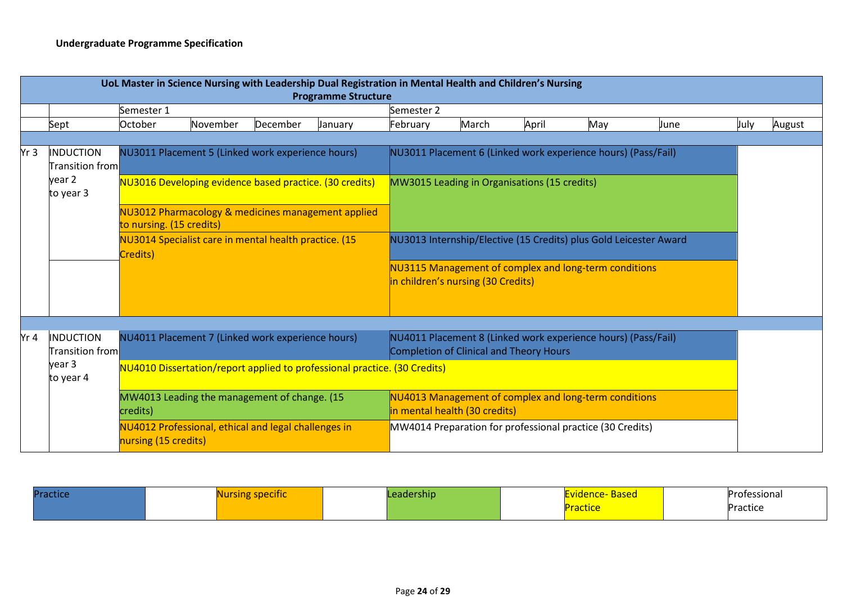|      | UoL Master in Science Nursing with Leadership Dual Registration in Mental Health and Children's Nursing<br><b>Programme Structure</b> |                                                                                                                                                                                                                                                                     |          |          |                                                                           |                                                                                                                                                                                                                  |                                                                          |       |                                                                                                                                                                                     |      |      |        |
|------|---------------------------------------------------------------------------------------------------------------------------------------|---------------------------------------------------------------------------------------------------------------------------------------------------------------------------------------------------------------------------------------------------------------------|----------|----------|---------------------------------------------------------------------------|------------------------------------------------------------------------------------------------------------------------------------------------------------------------------------------------------------------|--------------------------------------------------------------------------|-------|-------------------------------------------------------------------------------------------------------------------------------------------------------------------------------------|------|------|--------|
|      |                                                                                                                                       | Semester 1                                                                                                                                                                                                                                                          |          |          |                                                                           | Semester 2                                                                                                                                                                                                       |                                                                          |       |                                                                                                                                                                                     |      |      |        |
|      | Sept                                                                                                                                  | October                                                                                                                                                                                                                                                             | November | December | January                                                                   | February                                                                                                                                                                                                         | March                                                                    | April | May                                                                                                                                                                                 | June | July | August |
| Yr 3 | <b>INDUCTION</b>                                                                                                                      |                                                                                                                                                                                                                                                                     |          |          |                                                                           | NU3011 Placement 6 (Linked work experience hours) (Pass/Fail)                                                                                                                                                    |                                                                          |       |                                                                                                                                                                                     |      |      |        |
|      | <b>Transition from</b><br>year 2<br>to year 3                                                                                         | NU3011 Placement 5 (Linked work experience hours)<br>NU3016 Developing evidence based practice. (30 credits)<br>NU3012 Pharmacology & medicines management applied<br>to nursing. (15 credits)<br>NU3014 Specialist care in mental health practice. (15<br>Credits) |          |          |                                                                           | MW3015 Leading in Organisations (15 credits)<br>NU3013 Internship/Elective (15 Credits) plus Gold Leicester Award<br>NU3115 Management of complex and long-term conditions<br>in children's nursing (30 Credits) |                                                                          |       |                                                                                                                                                                                     |      |      |        |
| Yr 4 | <b>INDUCTION</b><br><b>Transition from</b><br>year 3<br>to year 4                                                                     | NU4011 Placement 7 (Linked work experience hours)<br>MW4013 Leading the management of change. (15<br>credits)<br>NU4012 Professional, ethical and legal challenges in<br>nursing (15 credits)                                                                       |          |          | NU4010 Dissertation/report applied to professional practice. (30 Credits) |                                                                                                                                                                                                                  | Completion of Clinical and Theory Hours<br>in mental health (30 credits) |       | NU4011 Placement 8 (Linked work experience hours) (Pass/Fail)<br>NU4013 Management of complex and long-term conditions<br>MW4014 Preparation for professional practice (30 Credits) |      |      |        |

| <b>Practic</b> | ecinc | rship. | <u>wascu - </u> | Professional |
|----------------|-------|--------|-----------------|--------------|
|                |       |        | ictice          | Practice     |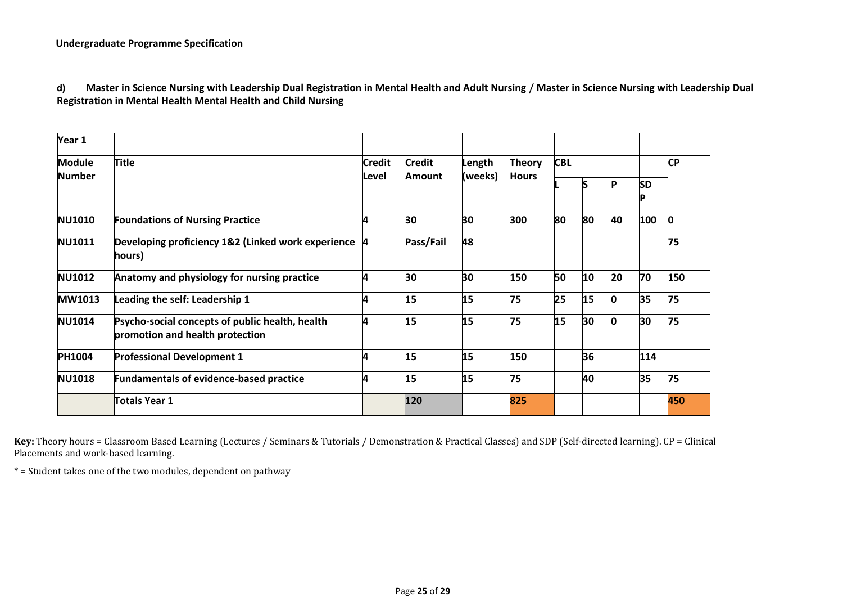#### **Undergraduate Programme Specification**

**d) Master in Science Nursing with Leadership Dual Registration in Mental Health and Adult Nursing / Master in Science Nursing with Leadership Dual Registration in Mental Health Mental Health and Child Nursing**

| Year 1        |                                                                                    |                        |                         |                   |                               |            |    |    |           |     |
|---------------|------------------------------------------------------------------------------------|------------------------|-------------------------|-------------------|-------------------------------|------------|----|----|-----------|-----|
| <b>Module</b> | <b>Title</b>                                                                       | <b>Credit</b><br>Level | <b>Credit</b><br>Amount | Length<br>(weeks) | <b>Theory</b><br><b>Hours</b> | <b>CBL</b> |    |    | <b>CP</b> |     |
| <b>Number</b> |                                                                                    |                        |                         |                   |                               |            | S  |    | SD        |     |
| <b>NU1010</b> | <b>Foundations of Nursing Practice</b>                                             |                        | 30                      | 30                | 300                           | 80         | 80 | 40 | 100       | 0   |
| <b>NU1011</b> | Developing proficiency 1&2 (Linked work experience 4<br>hours)                     |                        | Pass/Fail               | 48                |                               |            |    |    |           | 75  |
| <b>NU1012</b> | Anatomy and physiology for nursing practice                                        | л                      | 30                      | 30                | 150                           | 50         | 10 | 20 | 70        | 150 |
| <b>MW1013</b> | Leading the self: Leadership 1                                                     |                        | 15                      | 15                | 75                            | 25         | 15 | 0  | 35        | 75  |
| <b>NU1014</b> | Psycho-social concepts of public health, health<br>promotion and health protection | Δ                      | 15                      | 15                | 75                            | 15         | 30 | n  | 30        | 75  |
| <b>PH1004</b> | <b>Professional Development 1</b>                                                  |                        | 15                      | 15                | 150                           |            | 36 |    | 114       |     |
| <b>NU1018</b> | <b>Fundamentals of evidence-based practice</b>                                     |                        | 15                      | 15                | 75                            |            | 40 |    | 35        | 75  |
|               | <b>Totals Year 1</b>                                                               |                        | 120                     |                   | 825                           |            |    |    |           | 450 |

**Key:** Theory hours = Classroom Based Learning (Lectures / Seminars & Tutorials / Demonstration & Practical Classes) and SDP (Self-directed learning). CP = Clinical Placements and work-based learning.

\* = Student takes one of the two modules, dependent on pathway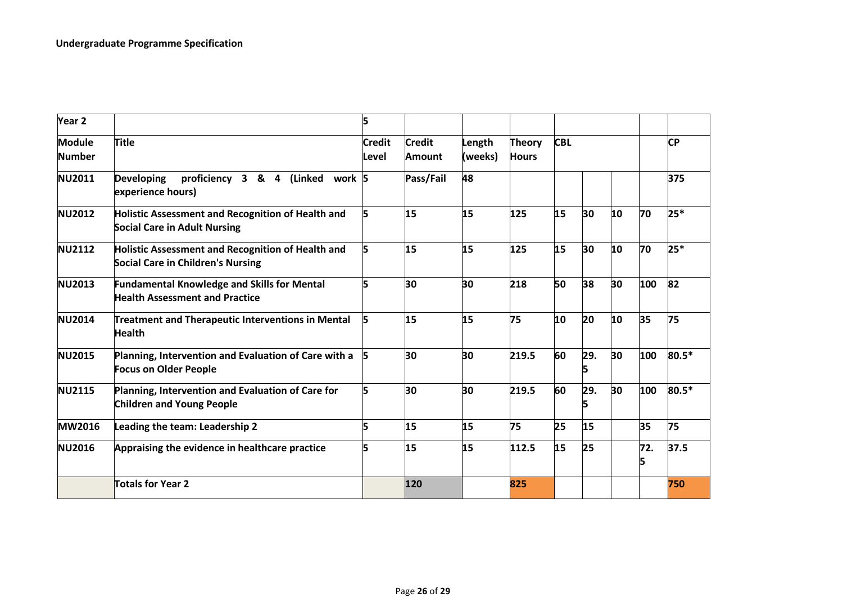| Year <sub>2</sub>              |                                                                                               | 5                      |                                |                   |                               |            |          |    |           |       |
|--------------------------------|-----------------------------------------------------------------------------------------------|------------------------|--------------------------------|-------------------|-------------------------------|------------|----------|----|-----------|-------|
| <b>Module</b><br><b>Number</b> | <b>Title</b>                                                                                  | <b>Credit</b><br>Level | <b>Credit</b><br><b>Amount</b> | Length<br>(weeks) | <b>Theory</b><br><b>Hours</b> | <b>CBL</b> |          |    | <b>CP</b> |       |
| <b>NU2011</b>                  | proficiency 3 & 4 (Linked work 5<br><b>Developing</b><br>experience hours)                    |                        | Pass/Fail                      | 48                |                               |            |          |    |           | 375   |
| <b>NU2012</b>                  | Holistic Assessment and Recognition of Health and<br><b>Social Care in Adult Nursing</b>      | 5                      | 15                             | 15                | 125                           | 15         | 30       | 10 | 70        | $25*$ |
| <b>NU2112</b>                  | Holistic Assessment and Recognition of Health and<br><b>Social Care in Children's Nursing</b> | 5                      | 15                             | 15                | 125                           | 15         | 30       | 10 | 70        | $25*$ |
| <b>NU2013</b>                  | <b>Fundamental Knowledge and Skills for Mental</b><br><b>Health Assessment and Practice</b>   | 5                      | 30                             | 30                | 218                           | 50         | 38       | 30 | 100       | 82    |
| <b>NU2014</b>                  | Treatment and Therapeutic Interventions in Mental<br><b>Health</b>                            | 5                      | 15                             | 15                | 75                            | 10         | 20       | 10 | 35        | 75    |
| <b>NU2015</b>                  | Planning, Intervention and Evaluation of Care with a<br><b>Focus on Older People</b>          | 5                      | 30                             | 30                | 219.5                         | 60         | 29.<br>5 | 30 | 100       | 80.5* |
| <b>NU2115</b>                  | Planning, Intervention and Evaluation of Care for<br><b>Children and Young People</b>         | 5                      | 30                             | 30                | 219.5                         | 60         | 29.<br>5 | 30 | 100       | 80.5* |
| <b>MW2016</b>                  | Leading the team: Leadership 2                                                                | 5                      | 15                             | 15                | 75                            | 25         | 15       |    | 35        | 75    |
| <b>NU2016</b>                  | Appraising the evidence in healthcare practice                                                | 5                      | 15                             | 15                | 112.5                         | 15         | 25       |    | 72.       | 37.5  |
|                                | Totals for Year 2                                                                             |                        | 120                            |                   | 825                           |            |          |    |           | 750   |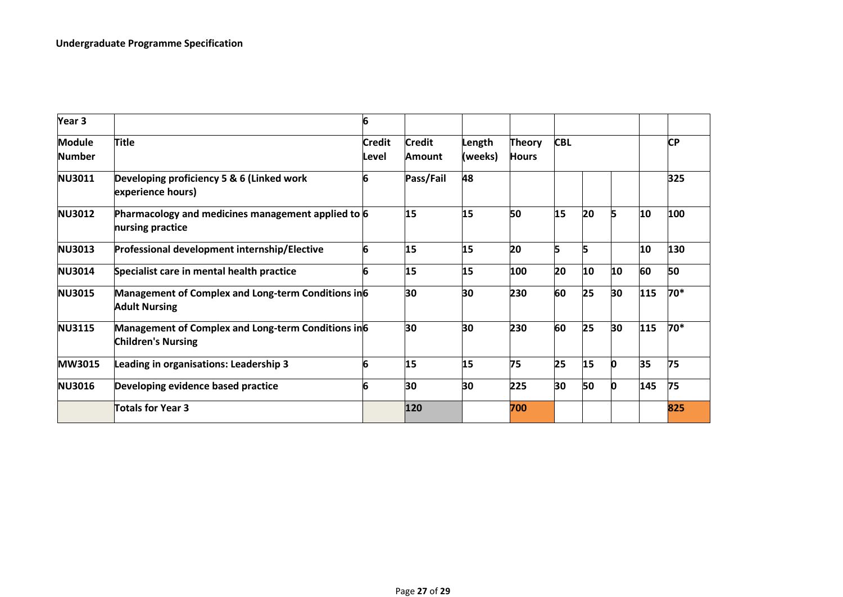| Year <sub>3</sub>              |                                                                                  | 6                      |                                |                   |                               |            |    |    |     |           |
|--------------------------------|----------------------------------------------------------------------------------|------------------------|--------------------------------|-------------------|-------------------------------|------------|----|----|-----|-----------|
| <b>Module</b><br><b>Number</b> | <b>Title</b>                                                                     | <b>Credit</b><br>Level | <b>Credit</b><br><b>Amount</b> | Length<br>(weeks) | <b>Theory</b><br><b>Hours</b> | <b>CBL</b> |    |    |     | <b>CP</b> |
| <b>NU3011</b>                  | Developing proficiency 5 & 6 (Linked work<br>experience hours)                   | 6                      | Pass/Fail                      | 48                |                               |            |    |    |     | 325       |
| <b>NU3012</b>                  | Pharmacology and medicines management applied to 6<br>nursing practice           |                        | 15                             | 15                | 50                            | 15         | 20 | 5  | 10  | 100       |
| <b>NU3013</b>                  | Professional development internship/Elective                                     | 6                      | 15                             | 15                | 20                            |            |    |    | 10  | 130       |
| <b>NU3014</b>                  | Specialist care in mental health practice                                        | 6                      | 15                             | 15                | 100                           | 20         | 10 | 10 | 60  | 50        |
| <b>NU3015</b>                  | Management of Complex and Long-term Conditions in 6<br><b>Adult Nursing</b>      |                        | 30                             | 30                | 230                           | 60         | 25 | 30 | 115 | 70*       |
| <b>NU3115</b>                  | Management of Complex and Long-term Conditions in 6<br><b>Children's Nursing</b> |                        | 30                             | 30                | 230                           | 60         | 25 | 30 | 115 | 70*       |
| <b>MW3015</b>                  | Leading in organisations: Leadership 3                                           | 6                      | 15                             | 15                | 75                            | 25         | 15 | n  | 35  | 75        |
| <b>NU3016</b>                  | Developing evidence based practice                                               | 6                      | 30                             | 30                | 225                           | 30         | 50 | n  | 145 | 75        |
|                                | Totals for Year 3                                                                |                        | 120                            |                   | 700                           |            |    |    |     | 825       |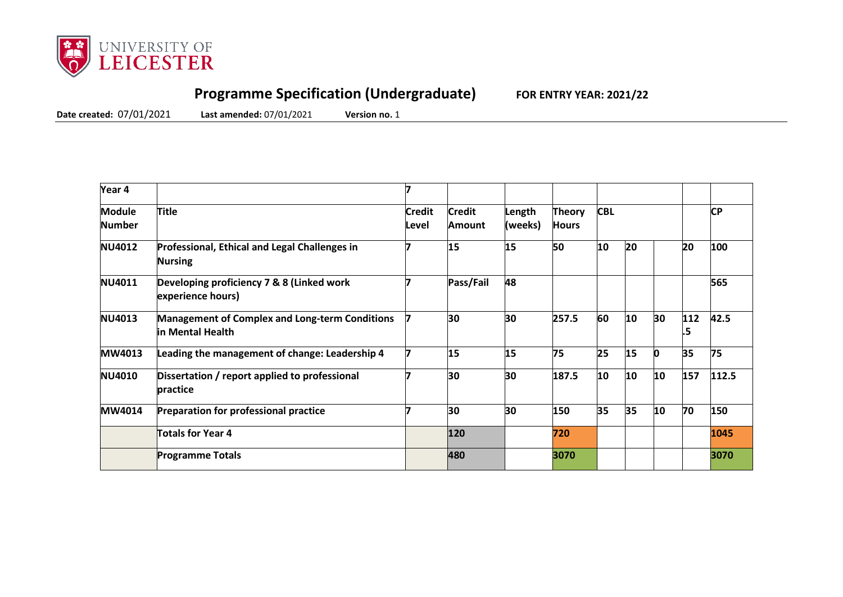

## **Programme Specification (Undergraduate) FOR ENTRY YEAR: 2021/22**

**Date created:** 07/01/2021 **Last amended:** 07/01/2021 **Version no.** 1

| Year 4                  |                                                                           |                        |                         |                   |                               |            |    |          |           |           |
|-------------------------|---------------------------------------------------------------------------|------------------------|-------------------------|-------------------|-------------------------------|------------|----|----------|-----------|-----------|
| <b>Module</b><br>Number | <b>Title</b>                                                              | <b>Credit</b><br>Level | <b>Credit</b><br>Amount | Length<br>(weeks) | <b>Theory</b><br><b>Hours</b> | <b>CBL</b> |    |          |           | <b>CP</b> |
| <b>NU4012</b>           | Professional, Ethical and Legal Challenges in<br><b>Nursing</b>           |                        | 15                      | 15                | 50                            | 10         | 20 |          | 20        | 100       |
| <b>NU4011</b>           | Developing proficiency 7 & 8 (Linked work<br>experience hours)            |                        | Pass/Fail               | 48                |                               |            |    |          |           | 565       |
| <b>NU4013</b>           | <b>Management of Complex and Long-term Conditions</b><br>in Mental Health |                        | 30                      | 30                | 257.5                         | 60         | 10 | 30       | 112<br>.5 | 42.5      |
| <b>MW4013</b>           | Leading the management of change: Leadership 4                            |                        | 15                      | 15                | 75                            | 25         | 15 | <b>n</b> | 35        | 75        |
| <b>NU4010</b>           | Dissertation / report applied to professional<br><b>practice</b>          |                        | 30                      | 30                | 187.5                         | 10         | 10 | 10       | 157       | 112.5     |
| <b>MW4014</b>           | <b>Preparation for professional practice</b>                              |                        | 30                      | 30                | 150                           | 35         | 35 | 10       | 70        | 150       |
|                         | Totals for Year 4                                                         |                        | 120                     |                   | 720                           |            |    |          |           | 1045      |
|                         | <b>Programme Totals</b>                                                   |                        | 480                     |                   | 3070                          |            |    |          |           | 3070      |